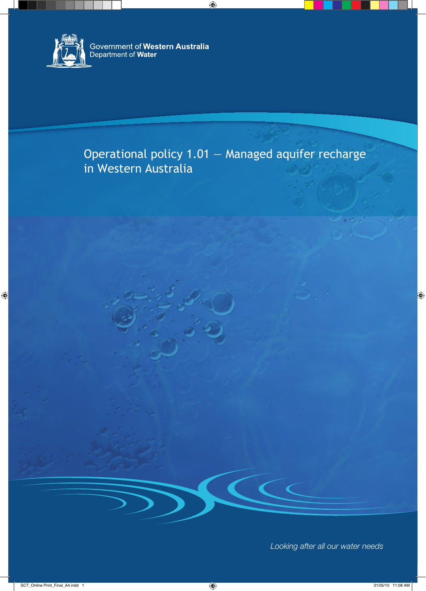

## Operational policy 1.01 — Managed aquifer recharge in Western Australia

*Looking after all our water needs*

 $\epsilon$   $\epsilon$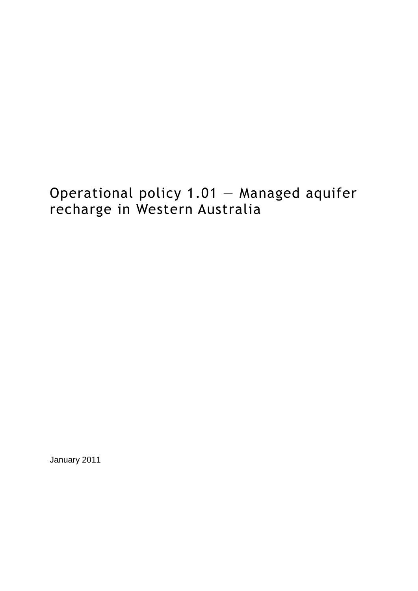# Operational policy 1.01 — Managed aquifer recharge in Western Australia

January 2011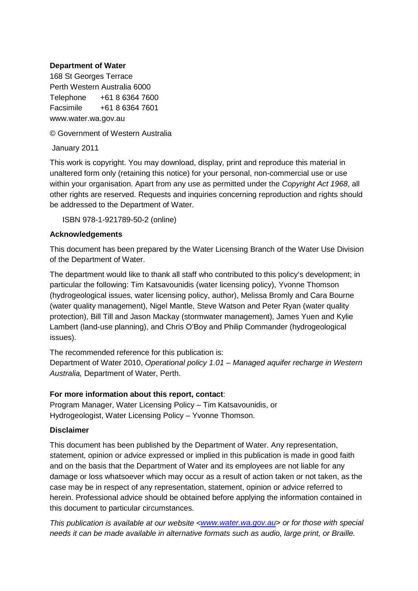#### **Department of Water**

168 St Georges Terrace Perth Western Australia 6000 Telephone +61 8 6364 7600 Facsimile +61 8 6364 7601 www.water.wa.gov.au

© Government of Western Australia

January 2011

This work is copyright. You may download, display, print and reproduce this material in unaltered form only (retaining this notice) for your personal, non-commercial use or use within your organisation. Apart from any use as permitted under the *Copyright Act 1968*, all other rights are reserved. Requests and inquiries concerning reproduction and rights should be addressed to the Department of Water.

ISBN 978-1-921789-50-2 (online)

#### **Acknowledgements**

This document has been prepared by the Water Licensing Branch of the Water Use Division of the Department of Water.

The department would like to thank all staff who contributed to this policy's development; in particular the following: Tim Katsavounidis (water licensing policy), Yvonne Thomson (hydrogeological issues, water licensing policy, author), Melissa Bromly and Cara Bourne (water quality management), Nigel Mantle, Steve Watson and Peter Ryan (water quality protection), Bill Till and Jason Mackay (stormwater management), James Yuen and Kylie Lambert (land-use planning), and Chris O'Boy and Philip Commander (hydrogeological issues).

The recommended reference for this publication is:

Department of Water 2010, *Operational policy 1.01 – Managed aquifer recharge in Western Australia,* Department of Water, Perth.

#### **For more information about this report, contact**:

Program Manager, Water Licensing Policy – Tim Katsavounidis, or Hydrogeologist, Water Licensing Policy – Yvonne Thomson.

#### **Disclaimer**

This document has been published by the Department of Water. Any representation, statement, opinion or advice expressed or implied in this publication is made in good faith and on the basis that the Department of Water and its employees are not liable for any damage or loss whatsoever which may occur as a result of action taken or not taken, as the case may be in respect of any representation, statement, opinion or advice referred to herein. Professional advice should be obtained before applying the information contained in this document to particular circumstances.

*This publication is available at our website [<www.water.wa.gov.au>](http://www.water.wa.gov.au/)* or for those with special *needs it can be made available in alternative formats such as audio, large print, or Braille.*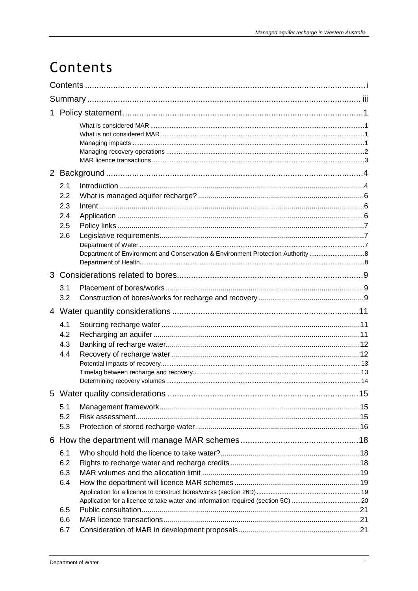# Contents

|   | 2.1<br>2.2<br>2.3<br>2.4<br>2.5<br>2.6 |  |     |  |  |
|---|----------------------------------------|--|-----|--|--|
| 3 |                                        |  |     |  |  |
|   | 3.1<br>3.2                             |  |     |  |  |
|   |                                        |  |     |  |  |
|   | 4.1<br>4.2<br>4.3<br>4.4               |  |     |  |  |
|   |                                        |  | .15 |  |  |
|   | 5.1<br>5.2<br>5.3                      |  |     |  |  |
|   |                                        |  |     |  |  |
|   | 6.1<br>6.2<br>6.3<br>6.4<br>6.5        |  |     |  |  |
|   | 6.6<br>6.7                             |  |     |  |  |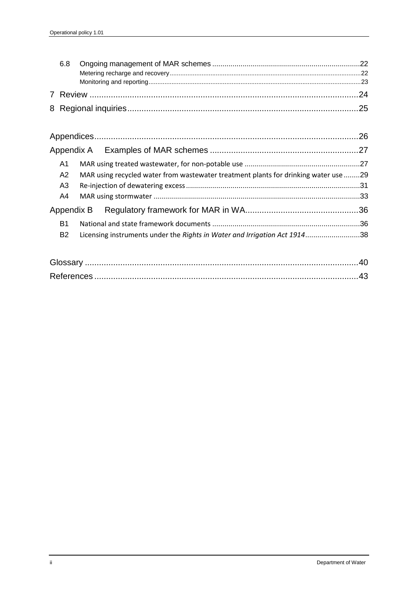| A1                |                                                                                     |           |  |  |  |
|-------------------|-------------------------------------------------------------------------------------|-----------|--|--|--|
| A2                | MAR using recycled water from wastewater treatment plants for drinking water use 29 |           |  |  |  |
| A <sub>3</sub>    |                                                                                     |           |  |  |  |
| A4                |                                                                                     |           |  |  |  |
| Appendix B        |                                                                                     |           |  |  |  |
| B1                |                                                                                     |           |  |  |  |
| <b>B2</b>         | Licensing instruments under the Rights in Water and Irrigation Act 191438           |           |  |  |  |
| $C_{\text{beam}}$ |                                                                                     | $\Lambda$ |  |  |  |

| Glossar |  |  |  |  |
|---------|--|--|--|--|
|         |  |  |  |  |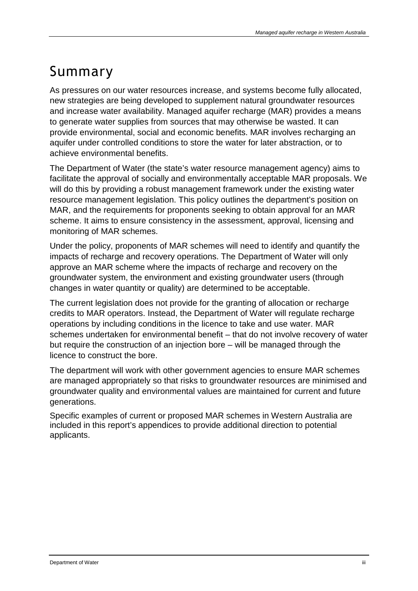## Summary

As pressures on our water resources increase, and systems become fully allocated, new strategies are being developed to supplement natural groundwater resources and increase water availability. Managed aquifer recharge (MAR) provides a means to generate water supplies from sources that may otherwise be wasted. It can provide environmental, social and economic benefits. MAR involves recharging an aquifer under controlled conditions to store the water for later abstraction, or to achieve environmental benefits.

The Department of Water (the state's water resource management agency) aims to facilitate the approval of socially and environmentally acceptable MAR proposals. We will do this by providing a robust management framework under the existing water resource management legislation. This policy outlines the department's position on MAR, and the requirements for proponents seeking to obtain approval for an MAR scheme. It aims to ensure consistency in the assessment, approval, licensing and monitoring of MAR schemes.

Under the policy, proponents of MAR schemes will need to identify and quantify the impacts of recharge and recovery operations. The Department of Water will only approve an MAR scheme where the impacts of recharge and recovery on the groundwater system, the environment and existing groundwater users (through changes in water quantity or quality) are determined to be acceptable.

The current legislation does not provide for the granting of allocation or recharge credits to MAR operators. Instead, the Department of Water will regulate recharge operations by including conditions in the licence to take and use water. MAR schemes undertaken for environmental benefit – that do not involve recovery of water but require the construction of an injection bore – will be managed through the licence to construct the bore.

The department will work with other government agencies to ensure MAR schemes are managed appropriately so that risks to groundwater resources are minimised and groundwater quality and environmental values are maintained for current and future generations.

Specific examples of current or proposed MAR schemes in Western Australia are included in this report's appendices to provide additional direction to potential applicants.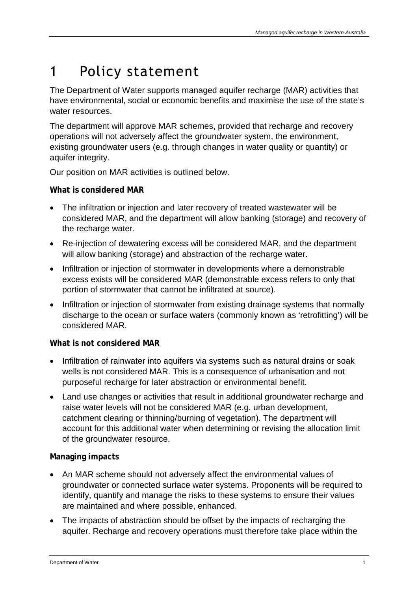# 1 Policy statement

The Department of Water supports managed aquifer recharge (MAR) activities that have environmental, social or economic benefits and maximise the use of the state's water resources.

The department will approve MAR schemes, provided that recharge and recovery operations will not adversely affect the groundwater system, the environment, existing groundwater users (e.g. through changes in water quality or quantity) or aquifer integrity.

Our position on MAR activities is outlined below.

### **What is considered MAR**

- The infiltration or injection and later recovery of treated wastewater will be considered MAR, and the department will allow banking (storage) and recovery of the recharge water.
- Re-injection of dewatering excess will be considered MAR, and the department will allow banking (storage) and abstraction of the recharge water.
- Infiltration or injection of stormwater in developments where a demonstrable excess exists will be considered MAR (demonstrable excess refers to only that portion of stormwater that cannot be infiltrated at source).
- Infiltration or injection of stormwater from existing drainage systems that normally discharge to the ocean or surface waters (commonly known as 'retrofitting') will be considered MAR.

### **What is not considered MAR**

- Infiltration of rainwater into aquifers via systems such as natural drains or soak wells is not considered MAR. This is a consequence of urbanisation and not purposeful recharge for later abstraction or environmental benefit.
- Land use changes or activities that result in additional groundwater recharge and raise water levels will not be considered MAR (e.g. urban development, catchment clearing or thinning/burning of vegetation). The department will account for this additional water when determining or revising the allocation limit of the groundwater resource.

### **Managing impacts**

- An MAR scheme should not adversely affect the environmental values of groundwater or connected surface water systems. Proponents will be required to identify, quantify and manage the risks to these systems to ensure their values are maintained and where possible, enhanced.
- The impacts of abstraction should be offset by the impacts of recharging the aquifer. Recharge and recovery operations must therefore take place within the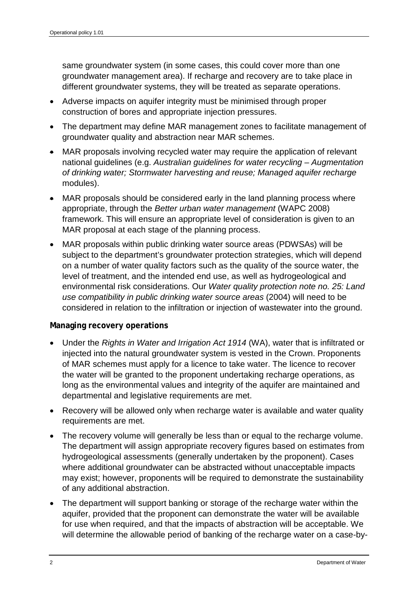same groundwater system (in some cases, this could cover more than one groundwater management area). If recharge and recovery are to take place in different groundwater systems, they will be treated as separate operations.

- Adverse impacts on aquifer integrity must be minimised through proper construction of bores and appropriate injection pressures.
- The department may define MAR management zones to facilitate management of groundwater quality and abstraction near MAR schemes.
- MAR proposals involving recycled water may require the application of relevant national guidelines (e.g. *Australian guidelines for water recycling – Augmentation of drinking water; Stormwater harvesting and reuse; Managed aquifer recharge*  modules).
- MAR proposals should be considered early in the land planning process where appropriate, through the *Better urban water management* (WAPC 2008) framework. This will ensure an appropriate level of consideration is given to an MAR proposal at each stage of the planning process.
- MAR proposals within public drinking water source areas (PDWSAs) will be subject to the department's groundwater protection strategies, which will depend on a number of water quality factors such as the quality of the source water, the level of treatment, and the intended end use, as well as hydrogeological and environmental risk considerations. Our *Water quality protection note no. 25: Land use compatibility in public drinking water source areas* (2004) will need to be considered in relation to the infiltration or injection of wastewater into the ground.

#### **Managing recovery operations**

- Under the *Rights in Water and Irrigation Act 1914* (WA), water that is infiltrated or injected into the natural groundwater system is vested in the Crown. Proponents of MAR schemes must apply for a licence to take water. The licence to recover the water will be granted to the proponent undertaking recharge operations, as long as the environmental values and integrity of the aquifer are maintained and departmental and legislative requirements are met.
- Recovery will be allowed only when recharge water is available and water quality requirements are met.
- The recovery volume will generally be less than or equal to the recharge volume. The department will assign appropriate recovery figures based on estimates from hydrogeological assessments (generally undertaken by the proponent). Cases where additional groundwater can be abstracted without unacceptable impacts may exist; however, proponents will be required to demonstrate the sustainability of any additional abstraction.
- The department will support banking or storage of the recharge water within the aquifer, provided that the proponent can demonstrate the water will be available for use when required, and that the impacts of abstraction will be acceptable. We will determine the allowable period of banking of the recharge water on a case-by-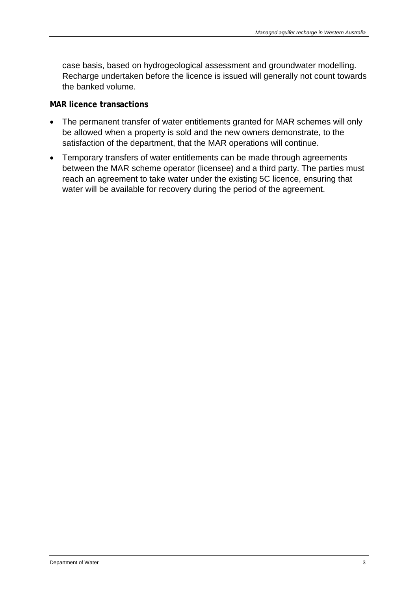case basis, based on hydrogeological assessment and groundwater modelling. Recharge undertaken before the licence is issued will generally not count towards the banked volume.

#### **MAR licence transactions**

- The permanent transfer of water entitlements granted for MAR schemes will only be allowed when a property is sold and the new owners demonstrate, to the satisfaction of the department, that the MAR operations will continue.
- Temporary transfers of water entitlements can be made through agreements between the MAR scheme operator (licensee) and a third party. The parties must reach an agreement to take water under the existing 5C licence, ensuring that water will be available for recovery during the period of the agreement.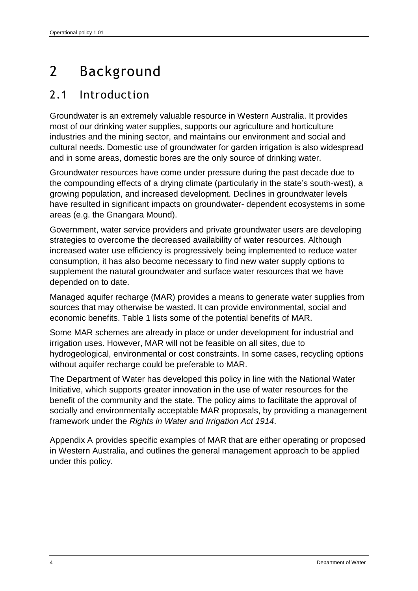# 2 Background

### 2.1 Introduction

Groundwater is an extremely valuable resource in Western Australia. It provides most of our drinking water supplies, supports our agriculture and horticulture industries and the mining sector, and maintains our environment and social and cultural needs. Domestic use of groundwater for garden irrigation is also widespread and in some areas, domestic bores are the only source of drinking water.

Groundwater resources have come under pressure during the past decade due to the compounding effects of a drying climate (particularly in the state's south-west), a growing population, and increased development. Declines in groundwater levels have resulted in significant impacts on groundwater- dependent ecosystems in some areas (e.g. the Gnangara Mound).

Government, water service providers and private groundwater users are developing strategies to overcome the decreased availability of water resources. Although increased water use efficiency is progressively being implemented to reduce water consumption, it has also become necessary to find new water supply options to supplement the natural groundwater and surface water resources that we have depended on to date.

Managed aquifer recharge (MAR) provides a means to generate water supplies from sources that may otherwise be wasted. It can provide environmental, social and economic benefits. Table 1 lists some of the potential benefits of MAR.

Some MAR schemes are already in place or under development for industrial and irrigation uses. However, MAR will not be feasible on all sites, due to hydrogeological, environmental or cost constraints. In some cases, recycling options without aquifer recharge could be preferable to MAR.

The Department of Water has developed this policy in line with the National Water Initiative, which supports greater innovation in the use of water resources for the benefit of the community and the state. The policy aims to facilitate the approval of socially and environmentally acceptable MAR proposals, by providing a management framework under the *Rights in Water and Irrigation Act 1914*.

Appendix A provides specific examples of MAR that are either operating or proposed in Western Australia, and outlines the general management approach to be applied under this policy.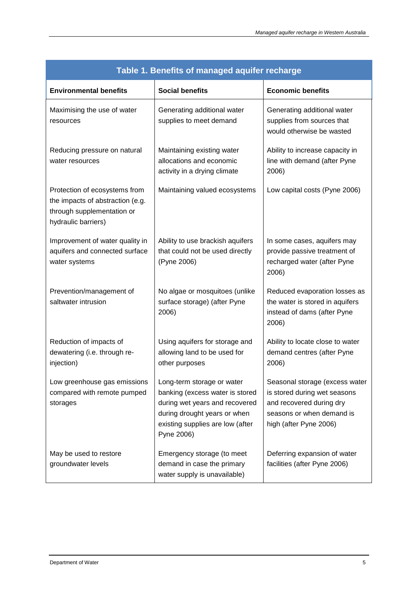| Table 1. Benefits of managed aquifer recharge                                                                          |                                                                                                                                                                                   |                                                                                                                                                   |  |  |  |
|------------------------------------------------------------------------------------------------------------------------|-----------------------------------------------------------------------------------------------------------------------------------------------------------------------------------|---------------------------------------------------------------------------------------------------------------------------------------------------|--|--|--|
| <b>Environmental benefits</b>                                                                                          | <b>Social benefits</b>                                                                                                                                                            | <b>Economic benefits</b>                                                                                                                          |  |  |  |
| Maximising the use of water<br>resources                                                                               | Generating additional water<br>supplies to meet demand                                                                                                                            | Generating additional water<br>supplies from sources that<br>would otherwise be wasted                                                            |  |  |  |
| Reducing pressure on natural<br>water resources                                                                        | Maintaining existing water<br>allocations and economic<br>activity in a drying climate                                                                                            | Ability to increase capacity in<br>line with demand (after Pyne<br>2006)                                                                          |  |  |  |
| Protection of ecosystems from<br>the impacts of abstraction (e.g.<br>through supplementation or<br>hydraulic barriers) | Maintaining valued ecosystems                                                                                                                                                     | Low capital costs (Pyne 2006)                                                                                                                     |  |  |  |
| Improvement of water quality in<br>aquifers and connected surface<br>water systems                                     | Ability to use brackish aquifers<br>that could not be used directly<br>(Pyne 2006)                                                                                                | In some cases, aquifers may<br>provide passive treatment of<br>recharged water (after Pyne<br>2006)                                               |  |  |  |
| Prevention/management of<br>saltwater intrusion                                                                        | No algae or mosquitoes (unlike<br>surface storage) (after Pyne<br>2006)                                                                                                           | Reduced evaporation losses as<br>the water is stored in aquifers<br>instead of dams (after Pyne<br>2006)                                          |  |  |  |
| Reduction of impacts of<br>dewatering (i.e. through re-<br>injection)                                                  | Using aquifers for storage and<br>allowing land to be used for<br>other purposes                                                                                                  | Ability to locate close to water<br>demand centres (after Pyne<br>2006)                                                                           |  |  |  |
| Low greenhouse gas emissions<br>compared with remote pumped<br>storages                                                | Long-term storage or water<br>banking (excess water is stored<br>during wet years and recovered<br>during drought years or when<br>existing supplies are low (after<br>Pyne 2006) | Seasonal storage (excess water<br>is stored during wet seasons<br>and recovered during dry<br>seasons or when demand is<br>high (after Pyne 2006) |  |  |  |
| May be used to restore<br>groundwater levels                                                                           | Emergency storage (to meet<br>demand in case the primary<br>water supply is unavailable)                                                                                          | Deferring expansion of water<br>facilities (after Pyne 2006)                                                                                      |  |  |  |

#### **Table 1. Benefits of managed aquifer recharge**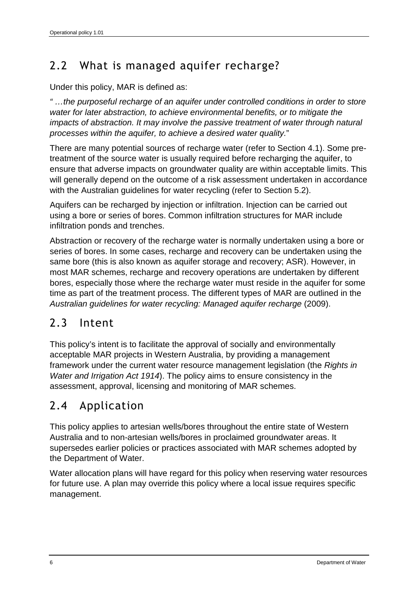## 2.2 What is managed aquifer recharge?

Under this policy, MAR is defined as:

*" …the purposeful recharge of an aquifer under controlled conditions in order to store water for later abstraction, to achieve environmental benefits, or to mitigate the impacts of abstraction. It may involve the passive treatment of water through natural processes within the aquifer, to achieve a desired water quality.*"

There are many potential sources of recharge water (refer to Section 4.1). Some pretreatment of the source water is usually required before recharging the aquifer, to ensure that adverse impacts on groundwater quality are within acceptable limits. This will generally depend on the outcome of a risk assessment undertaken in accordance with the Australian guidelines for water recycling (refer to Section 5.2).

Aquifers can be recharged by injection or infiltration. Injection can be carried out using a bore or series of bores. Common infiltration structures for MAR include infiltration ponds and trenches.

Abstraction or recovery of the recharge water is normally undertaken using a bore or series of bores. In some cases, recharge and recovery can be undertaken using the same bore (this is also known as aquifer storage and recovery; ASR). However, in most MAR schemes, recharge and recovery operations are undertaken by different bores, especially those where the recharge water must reside in the aquifer for some time as part of the treatment process. The different types of MAR are outlined in the *Australian guidelines for water recycling: Managed aquifer recharge* (2009).

### 2.3 Intent

This policy's intent is to facilitate the approval of socially and environmentally acceptable MAR projects in Western Australia, by providing a management framework under the current water resource management legislation (the *Rights in Water and Irrigation Act 1914*). The policy aims to ensure consistency in the assessment, approval, licensing and monitoring of MAR schemes.

### 2.4 Application

This policy applies to artesian wells/bores throughout the entire state of Western Australia and to non-artesian wells/bores in proclaimed groundwater areas. It supersedes earlier policies or practices associated with MAR schemes adopted by the Department of Water.

Water allocation plans will have regard for this policy when reserving water resources for future use. A plan may override this policy where a local issue requires specific management.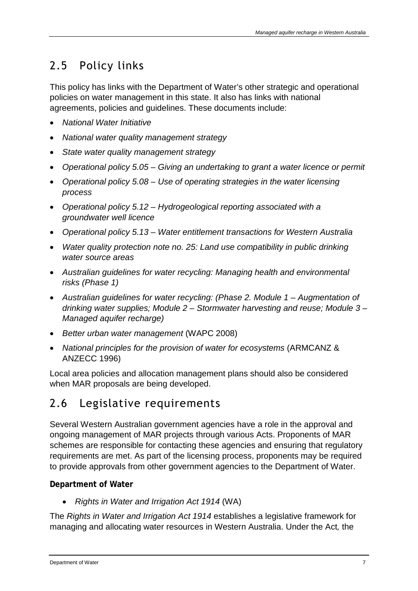## 2.5 Policy links

This policy has links with the Department of Water's other strategic and operational policies on water management in this state. It also has links with national agreements, policies and guidelines. These documents include:

- *National Water Initiative*
- *National water quality management strategy*
- *State water quality management strategy*
- *Operational policy 5.05 – Giving an undertaking to grant a water licence or permit*
- *Operational policy 5.08 – Use of operating strategies in the water licensing process*
- *Operational policy 5.12 – Hydrogeological reporting associated with a groundwater well licence*
- *Operational policy 5.13 – Water entitlement transactions for Western Australia*
- *Water quality protection note no. 25: Land use compatibility in public drinking water source areas*
- *Australian guidelines for water recycling: Managing health and environmental risks (Phase 1)*
- *Australian guidelines for water recycling: (Phase 2. Module 1 – Augmentation of drinking water supplies; Module 2 – Stormwater harvesting and reuse; Module 3 – Managed aquifer recharge)*
- *Better urban water management* (WAPC 2008)
- National principles for the provision of water for ecosystems (ARMCANZ & ANZECC 1996)

Local area policies and allocation management plans should also be considered when MAR proposals are being developed.

### 2.6 Legislative requirements

Several Western Australian government agencies have a role in the approval and ongoing management of MAR projects through various Acts. Proponents of MAR schemes are responsible for contacting these agencies and ensuring that regulatory requirements are met. As part of the licensing process, proponents may be required to provide approvals from other government agencies to the Department of Water.

### **Department of Water**

• *Rights in Water and Irrigation Act 1914* (WA)

The *Rights in Water and Irrigation Act 1914* establishes a legislative framework for managing and allocating water resources in Western Australia. Under the Act*,* the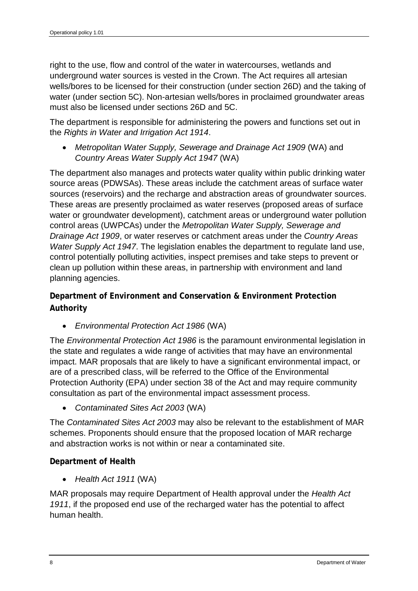right to the use, flow and control of the water in watercourses, wetlands and underground water sources is vested in the Crown. The Act requires all artesian wells/bores to be licensed for their construction (under section 26D) and the taking of water (under section 5C). Non-artesian wells/bores in proclaimed groundwater areas must also be licensed under sections 26D and 5C.

The department is responsible for administering the powers and functions set out in the *Rights in Water and Irrigation Act 1914*.

• *Metropolitan Water Supply, Sewerage and Drainage Act 1909* (WA) and *Country Areas Water Supply Act 1947* (WA)

The department also manages and protects water quality within public drinking water source areas (PDWSAs). These areas include the catchment areas of surface water sources (reservoirs) and the recharge and abstraction areas of groundwater sources. These areas are presently proclaimed as water reserves (proposed areas of surface water or groundwater development), catchment areas or underground water pollution control areas (UWPCAs) under the *Metropolitan Water Supply, Sewerage and Drainage Act 1909*, or water reserves or catchment areas under the *Country Areas Water Supply Act 1947*. The legislation enables the department to regulate land use, control potentially polluting activities, inspect premises and take steps to prevent or clean up pollution within these areas, in partnership with environment and land planning agencies.

**Department of Environment and Conservation & Environment Protection Authority**

• *Environmental Protection Act 1986* (WA)

The *Environmental Protection Act 1986* is the paramount environmental legislation in the state and regulates a wide range of activities that may have an environmental impact. MAR proposals that are likely to have a significant environmental impact, or are of a prescribed class, will be referred to the Office of the Environmental Protection Authority (EPA) under section 38 of the Act and may require community consultation as part of the environmental impact assessment process.

• *Contaminated Sites Act 2003* (WA)

The *Contaminated Sites Act 2003* may also be relevant to the establishment of MAR schemes. Proponents should ensure that the proposed location of MAR recharge and abstraction works is not within or near a contaminated site.

#### **Department of Health**

• *Health Act 1911* (WA)

MAR proposals may require Department of Health approval under the *Health Act 1911*, if the proposed end use of the recharged water has the potential to affect human health.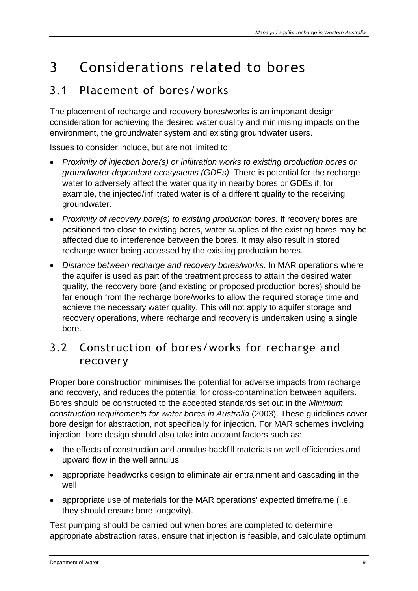# 3 Considerations related to bores

### 3.1 Placement of bores/works

The placement of recharge and recovery bores/works is an important design consideration for achieving the desired water quality and minimising impacts on the environment, the groundwater system and existing groundwater users.

Issues to consider include, but are not limited to:

- *Proximity of injection bore(s) or infiltration works to existing production bores or groundwater-dependent ecosystems (GDEs)*. There is potential for the recharge water to adversely affect the water quality in nearby bores or GDEs if, for example, the injected/infiltrated water is of a different quality to the receiving groundwater.
- *Proximity of recovery bore(s) to existing production bores*. If recovery bores are positioned too close to existing bores, water supplies of the existing bores may be affected due to interference between the bores. It may also result in stored recharge water being accessed by the existing production bores.
- *Distance between recharge and recovery bores/works*. In MAR operations where the aquifer is used as part of the treatment process to attain the desired water quality, the recovery bore (and existing or proposed production bores) should be far enough from the recharge bore/works to allow the required storage time and achieve the necessary water quality. This will not apply to aquifer storage and recovery operations, where recharge and recovery is undertaken using a single bore.

### 3.2 Construction of bores/works for recharge and recovery

Proper bore construction minimises the potential for adverse impacts from recharge and recovery, and reduces the potential for cross-contamination between aquifers. Bores should be constructed to the accepted standards set out in the *Minimum construction requirements for water bores in Australia* (2003). These guidelines cover bore design for abstraction, not specifically for injection. For MAR schemes involving injection, bore design should also take into account factors such as:

- the effects of construction and annulus backfill materials on well efficiencies and upward flow in the well annulus
- appropriate headworks design to eliminate air entrainment and cascading in the well
- appropriate use of materials for the MAR operations' expected timeframe (i.e. they should ensure bore longevity).

Test pumping should be carried out when bores are completed to determine appropriate abstraction rates, ensure that injection is feasible, and calculate optimum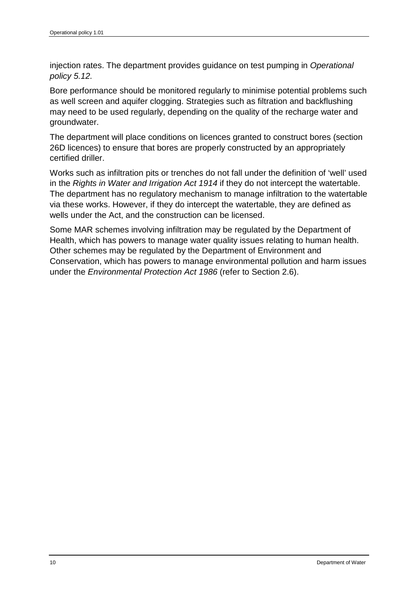injection rates. The department provides guidance on test pumping in *Operational policy 5.12.*

Bore performance should be monitored regularly to minimise potential problems such as well screen and aquifer clogging. Strategies such as filtration and backflushing may need to be used regularly, depending on the quality of the recharge water and groundwater.

The department will place conditions on licences granted to construct bores (section 26D licences) to ensure that bores are properly constructed by an appropriately certified driller.

Works such as infiltration pits or trenches do not fall under the definition of 'well' used in the *Rights in Water and Irrigation Act 1914* if they do not intercept the watertable. The department has no regulatory mechanism to manage infiltration to the watertable via these works. However, if they do intercept the watertable, they are defined as wells under the Act, and the construction can be licensed.

Some MAR schemes involving infiltration may be regulated by the Department of Health, which has powers to manage water quality issues relating to human health. Other schemes may be regulated by the Department of Environment and Conservation, which has powers to manage environmental pollution and harm issues under the *Environmental Protection Act 1986* (refer to Section 2.6).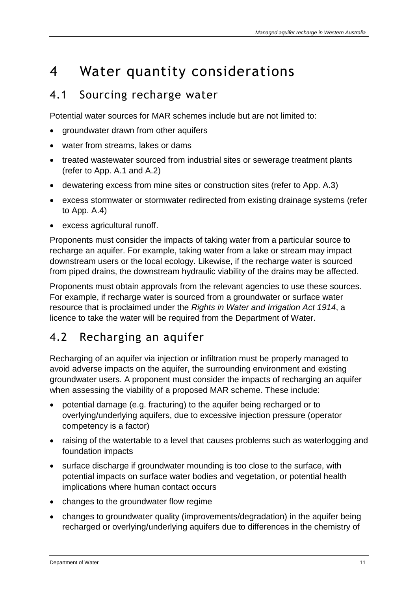# 4 Water quantity considerations

### 4.1 Sourcing recharge water

Potential water sources for MAR schemes include but are not limited to:

- groundwater drawn from other aquifers
- water from streams, lakes or dams
- treated wastewater sourced from industrial sites or sewerage treatment plants (refer to App. A.1 and A.2)
- dewatering excess from mine sites or construction sites (refer to App. A.3)
- excess stormwater or stormwater redirected from existing drainage systems (refer to App. A.4)
- excess agricultural runoff.

Proponents must consider the impacts of taking water from a particular source to recharge an aquifer. For example, taking water from a lake or stream may impact downstream users or the local ecology. Likewise, if the recharge water is sourced from piped drains, the downstream hydraulic viability of the drains may be affected.

Proponents must obtain approvals from the relevant agencies to use these sources. For example, if recharge water is sourced from a groundwater or surface water resource that is proclaimed under the *Rights in Water and Irrigation Act 1914*, a licence to take the water will be required from the Department of Water.

### 4.2 Recharging an aquifer

Recharging of an aquifer via injection or infiltration must be properly managed to avoid adverse impacts on the aquifer, the surrounding environment and existing groundwater users. A proponent must consider the impacts of recharging an aquifer when assessing the viability of a proposed MAR scheme. These include:

- potential damage (e.g. fracturing) to the aquifer being recharged or to overlying/underlying aquifers, due to excessive injection pressure (operator competency is a factor)
- raising of the watertable to a level that causes problems such as waterlogging and foundation impacts
- surface discharge if groundwater mounding is too close to the surface, with potential impacts on surface water bodies and vegetation, or potential health implications where human contact occurs
- changes to the groundwater flow regime
- changes to groundwater quality (improvements/degradation) in the aquifer being recharged or overlying/underlying aquifers due to differences in the chemistry of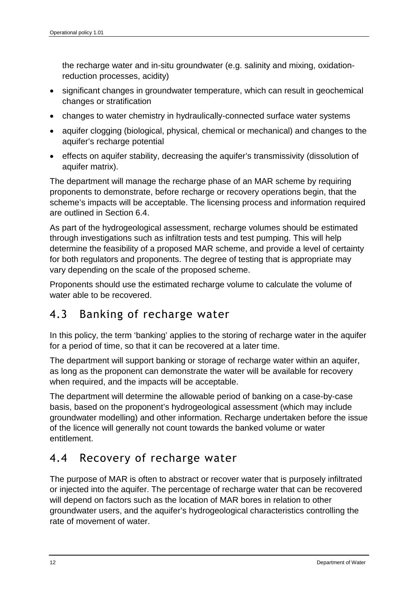the recharge water and in-situ groundwater (e.g. salinity and mixing, oxidationreduction processes, acidity)

- significant changes in groundwater temperature, which can result in geochemical changes or stratification
- changes to water chemistry in hydraulically-connected surface water systems
- aquifer clogging (biological, physical, chemical or mechanical) and changes to the aquifer's recharge potential
- effects on aquifer stability, decreasing the aquifer's transmissivity (dissolution of aquifer matrix).

The department will manage the recharge phase of an MAR scheme by requiring proponents to demonstrate, before recharge or recovery operations begin, that the scheme's impacts will be acceptable. The licensing process and information required are outlined in Section 6.4.

As part of the hydrogeological assessment, recharge volumes should be estimated through investigations such as infiltration tests and test pumping. This will help determine the feasibility of a proposed MAR scheme, and provide a level of certainty for both regulators and proponents. The degree of testing that is appropriate may vary depending on the scale of the proposed scheme.

Proponents should use the estimated recharge volume to calculate the volume of water able to be recovered.

### 4.3 Banking of recharge water

In this policy, the term 'banking' applies to the storing of recharge water in the aquifer for a period of time, so that it can be recovered at a later time.

The department will support banking or storage of recharge water within an aquifer, as long as the proponent can demonstrate the water will be available for recovery when required, and the impacts will be acceptable.

The department will determine the allowable period of banking on a case-by-case basis, based on the proponent's hydrogeological assessment (which may include groundwater modelling) and other information. Recharge undertaken before the issue of the licence will generally not count towards the banked volume or water entitlement.

### 4.4 Recovery of recharge water

The purpose of MAR is often to abstract or recover water that is purposely infiltrated or injected into the aquifer. The percentage of recharge water that can be recovered will depend on factors such as the location of MAR bores in relation to other groundwater users, and the aquifer's hydrogeological characteristics controlling the rate of movement of water.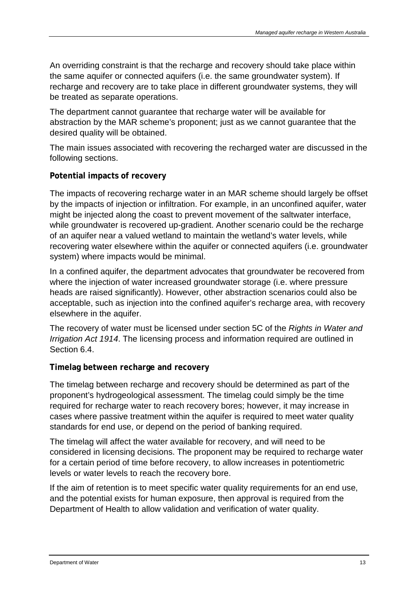An overriding constraint is that the recharge and recovery should take place within the same aquifer or connected aquifers (i.e. the same groundwater system). If recharge and recovery are to take place in different groundwater systems, they will be treated as separate operations.

The department cannot guarantee that recharge water will be available for abstraction by the MAR scheme's proponent; just as we cannot guarantee that the desired quality will be obtained.

The main issues associated with recovering the recharged water are discussed in the following sections.

#### **Potential impacts of recovery**

The impacts of recovering recharge water in an MAR scheme should largely be offset by the impacts of injection or infiltration. For example, in an unconfined aquifer, water might be injected along the coast to prevent movement of the saltwater interface, while groundwater is recovered up-gradient. Another scenario could be the recharge of an aquifer near a valued wetland to maintain the wetland's water levels, while recovering water elsewhere within the aquifer or connected aquifers (i.e. groundwater system) where impacts would be minimal.

In a confined aquifer, the department advocates that groundwater be recovered from where the injection of water increased groundwater storage (i.e. where pressure heads are raised significantly). However, other abstraction scenarios could also be acceptable, such as injection into the confined aquifer's recharge area, with recovery elsewhere in the aquifer.

The recovery of water must be licensed under section 5C of the *Rights in Water and Irrigation Act 1914*. The licensing process and information required are outlined in Section 6.4.

#### **Timelag between recharge and recovery**

The timelag between recharge and recovery should be determined as part of the proponent's hydrogeological assessment. The timelag could simply be the time required for recharge water to reach recovery bores; however, it may increase in cases where passive treatment within the aquifer is required to meet water quality standards for end use, or depend on the period of banking required.

The timelag will affect the water available for recovery, and will need to be considered in licensing decisions. The proponent may be required to recharge water for a certain period of time before recovery, to allow increases in potentiometric levels or water levels to reach the recovery bore.

If the aim of retention is to meet specific water quality requirements for an end use, and the potential exists for human exposure, then approval is required from the Department of Health to allow validation and verification of water quality.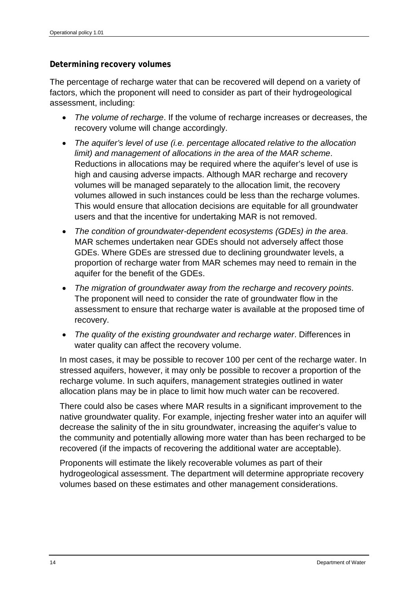#### **Determining recovery volumes**

The percentage of recharge water that can be recovered will depend on a variety of factors, which the proponent will need to consider as part of their hydrogeological assessment, including:

- *The volume of recharge*. If the volume of recharge increases or decreases, the recovery volume will change accordingly.
- *The aquifer's level of use (i.e. percentage allocated relative to the allocation limit) and management of allocations in the area of the MAR scheme*. Reductions in allocations may be required where the aquifer's level of use is high and causing adverse impacts. Although MAR recharge and recovery volumes will be managed separately to the allocation limit, the recovery volumes allowed in such instances could be less than the recharge volumes. This would ensure that allocation decisions are equitable for all groundwater users and that the incentive for undertaking MAR is not removed.
- *The condition of groundwater-dependent ecosystems (GDEs) in the area*. MAR schemes undertaken near GDEs should not adversely affect those GDEs. Where GDEs are stressed due to declining groundwater levels, a proportion of recharge water from MAR schemes may need to remain in the aquifer for the benefit of the GDEs.
- *The migration of groundwater away from the recharge and recovery points*. The proponent will need to consider the rate of groundwater flow in the assessment to ensure that recharge water is available at the proposed time of recovery.
- *The quality of the existing groundwater and recharge water*. Differences in water quality can affect the recovery volume.

In most cases, it may be possible to recover 100 per cent of the recharge water. In stressed aquifers, however, it may only be possible to recover a proportion of the recharge volume. In such aquifers, management strategies outlined in water allocation plans may be in place to limit how much water can be recovered.

There could also be cases where MAR results in a significant improvement to the native groundwater quality. For example, injecting fresher water into an aquifer will decrease the salinity of the in situ groundwater, increasing the aquifer's value to the community and potentially allowing more water than has been recharged to be recovered (if the impacts of recovering the additional water are acceptable).

Proponents will estimate the likely recoverable volumes as part of their hydrogeological assessment. The department will determine appropriate recovery volumes based on these estimates and other management considerations.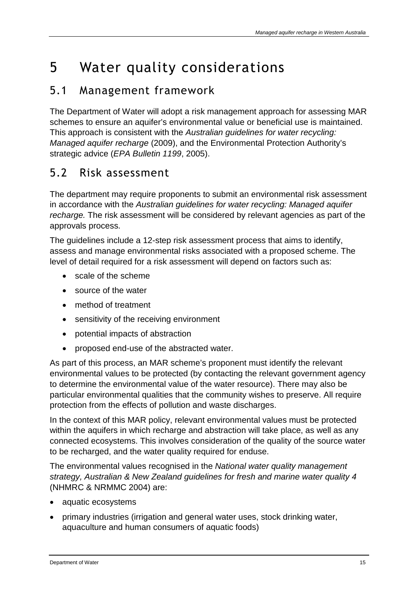# 5 Water quality considerations

### 5.1 Management framework

The Department of Water will adopt a risk management approach for assessing MAR schemes to ensure an aquifer's environmental value or beneficial use is maintained. This approach is consistent with the *Australian guidelines for water recycling: Managed aquifer recharge* (2009), and the Environmental Protection Authority's strategic advice (*EPA Bulletin 1199*, 2005).

### 5.2 Risk assessment

The department may require proponents to submit an environmental risk assessment in accordance with the *Australian guidelines for water recycling: Managed aquifer recharge.* The risk assessment will be considered by relevant agencies as part of the approvals process.

The guidelines include a 12-step risk assessment process that aims to identify, assess and manage environmental risks associated with a proposed scheme. The level of detail required for a risk assessment will depend on factors such as:

- scale of the scheme
- source of the water
- method of treatment
- sensitivity of the receiving environment
- potential impacts of abstraction
- proposed end-use of the abstracted water.

As part of this process, an MAR scheme's proponent must identify the relevant environmental values to be protected (by contacting the relevant government agency to determine the environmental value of the water resource). There may also be particular environmental qualities that the community wishes to preserve. All require protection from the effects of pollution and waste discharges.

In the context of this MAR policy, relevant environmental values must be protected within the aquifers in which recharge and abstraction will take place, as well as any connected ecosystems. This involves consideration of the quality of the source water to be recharged, and the water quality required for enduse.

The environmental values recognised in the *National water quality management strategy, Australian & New Zealand guidelines for fresh and marine water quality 4* (NHMRC & NRMMC 2004) are:

- aquatic ecosystems
- primary industries (irrigation and general water uses, stock drinking water, aquaculture and human consumers of aquatic foods)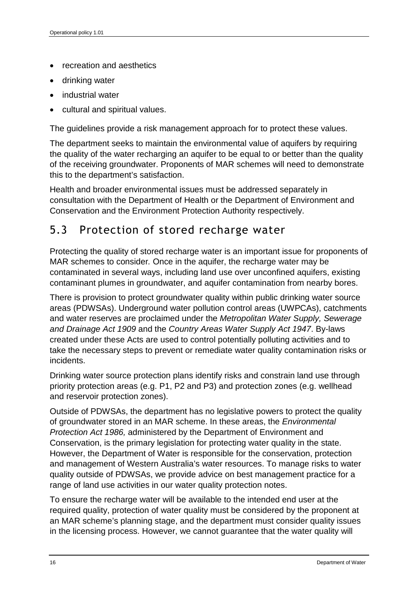- recreation and aesthetics
- drinking water
- industrial water
- cultural and spiritual values.

The guidelines provide a risk management approach for to protect these values.

The department seeks to maintain the environmental value of aquifers by requiring the quality of the water recharging an aquifer to be equal to or better than the quality of the receiving groundwater. Proponents of MAR schemes will need to demonstrate this to the department's satisfaction.

Health and broader environmental issues must be addressed separately in consultation with the Department of Health or the Department of Environment and Conservation and the Environment Protection Authority respectively.

### 5.3 Protection of stored recharge water

Protecting the quality of stored recharge water is an important issue for proponents of MAR schemes to consider*.* Once in the aquifer, the recharge water may be contaminated in several ways, including land use over unconfined aquifers, existing contaminant plumes in groundwater, and aquifer contamination from nearby bores.

There is provision to protect groundwater quality within public drinking water source areas (PDWSAs). Underground water pollution control areas (UWPCAs), catchments and water reserves are proclaimed under the *Metropolitan Water Supply, Sewerage and Drainage Act 1909* and the *Country Areas Water Supply Act 1947*. By-laws created under these Acts are used to control potentially polluting activities and to take the necessary steps to prevent or remediate water quality contamination risks or incidents.

Drinking water source protection plans identify risks and constrain land use through priority protection areas (e.g. P1, P2 and P3) and protection zones (e.g. wellhead and reservoir protection zones).

Outside of PDWSAs, the department has no legislative powers to protect the quality of groundwater stored in an MAR scheme. In these areas, the *Environmental Protection Act 1986,* administered by the Department of Environment and Conservation, is the primary legislation for protecting water quality in the state. However, the Department of Water is responsible for the conservation, protection and management of Western Australia's water resources. To manage risks to water quality outside of PDWSAs, we provide advice on best management practice for a range of land use activities in our water quality protection notes.

To ensure the recharge water will be available to the intended end user at the required quality, protection of water quality must be considered by the proponent at an MAR scheme's planning stage, and the department must consider quality issues in the licensing process. However, we cannot guarantee that the water quality will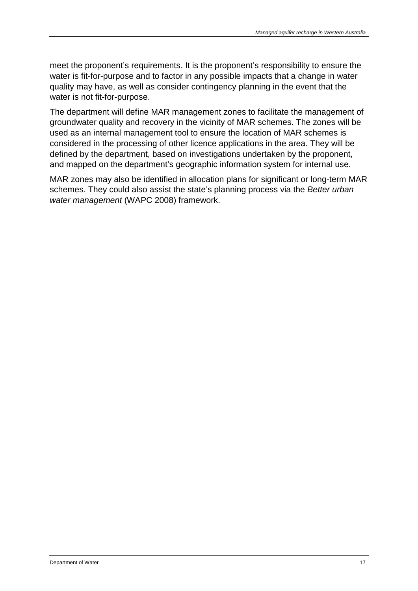meet the proponent's requirements. It is the proponent's responsibility to ensure the water is fit-for-purpose and to factor in any possible impacts that a change in water quality may have, as well as consider contingency planning in the event that the water is not fit-for-purpose.

The department will define MAR management zones to facilitate the management of groundwater quality and recovery in the vicinity of MAR schemes. The zones will be used as an internal management tool to ensure the location of MAR schemes is considered in the processing of other licence applications in the area. They will be defined by the department, based on investigations undertaken by the proponent, and mapped on the department's geographic information system for internal use.

MAR zones may also be identified in allocation plans for significant or long-term MAR schemes. They could also assist the state's planning process via the *Better urban water management* (WAPC 2008) framework.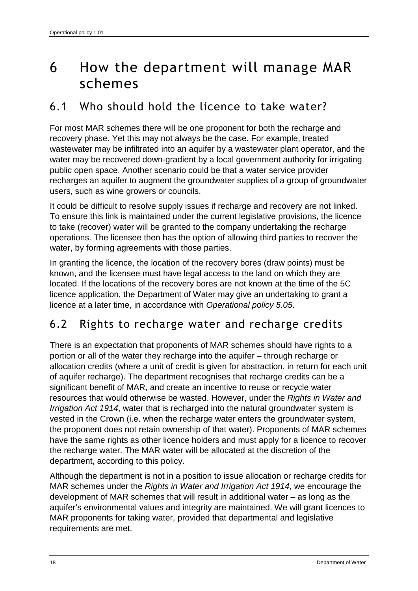## 6 How the department will manage MAR schemes

### 6.1 Who should hold the licence to take water?

For most MAR schemes there will be one proponent for both the recharge and recovery phase. Yet this may not always be the case. For example, treated wastewater may be infiltrated into an aquifer by a wastewater plant operator, and the water may be recovered down-gradient by a local government authority for irrigating public open space. Another scenario could be that a water service provider recharges an aquifer to augment the groundwater supplies of a group of groundwater users, such as wine growers or councils.

It could be difficult to resolve supply issues if recharge and recovery are not linked. To ensure this link is maintained under the current legislative provisions, the licence to take (recover) water will be granted to the company undertaking the recharge operations. The licensee then has the option of allowing third parties to recover the water, by forming agreements with those parties.

In granting the licence, the location of the recovery bores (draw points) must be known, and the licensee must have legal access to the land on which they are located. If the locations of the recovery bores are not known at the time of the 5C licence application, the Department of Water may give an undertaking to grant a licence at a later time, in accordance with *Operational policy 5.05*.

### 6.2 Rights to recharge water and recharge credits

There is an expectation that proponents of MAR schemes should have rights to a portion or all of the water they recharge into the aquifer – through recharge or allocation credits (where a unit of credit is given for abstraction, in return for each unit of aquifer recharge). The department recognises that recharge credits can be a significant benefit of MAR, and create an incentive to reuse or recycle water resources that would otherwise be wasted. However, under the *Rights in Water and Irrigation Act 1914*, water that is recharged into the natural groundwater system is vested in the Crown (i.e. when the recharge water enters the groundwater system, the proponent does not retain ownership of that water). Proponents of MAR schemes have the same rights as other licence holders and must apply for a licence to recover the recharge water. The MAR water will be allocated at the discretion of the department, according to this policy.

Although the department is not in a position to issue allocation or recharge credits for MAR schemes under the *Rights in Water and Irrigation Act 1914*, we encourage the development of MAR schemes that will result in additional water – as long as the aquifer's environmental values and integrity are maintained. We will grant licences to MAR proponents for taking water, provided that departmental and legislative requirements are met.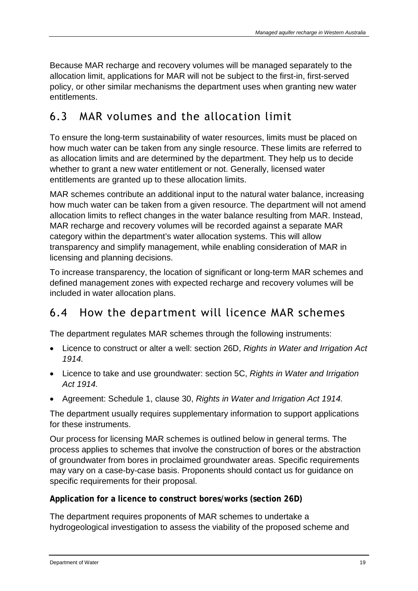Because MAR recharge and recovery volumes will be managed separately to the allocation limit, applications for MAR will not be subject to the first-in, first-served policy, or other similar mechanisms the department uses when granting new water entitlements.

### 6.3 MAR volumes and the allocation limit

To ensure the long-term sustainability of water resources, limits must be placed on how much water can be taken from any single resource. These limits are referred to as allocation limits and are determined by the department. They help us to decide whether to grant a new water entitlement or not. Generally, licensed water entitlements are granted up to these allocation limits.

MAR schemes contribute an additional input to the natural water balance, increasing how much water can be taken from a given resource. The department will not amend allocation limits to reflect changes in the water balance resulting from MAR. Instead, MAR recharge and recovery volumes will be recorded against a separate MAR category within the department's water allocation systems. This will allow transparency and simplify management, while enabling consideration of MAR in licensing and planning decisions.

To increase transparency, the location of significant or long-term MAR schemes and defined management zones with expected recharge and recovery volumes will be included in water allocation plans.

### 6.4 How the department will licence MAR schemes

The department regulates MAR schemes through the following instruments:

- Licence to construct or alter a well: section 26D, *Rights in Water and Irrigation Act 1914.*
- Licence to take and use groundwater: section 5C, *Rights in Water and Irrigation Act 1914.*
- Agreement: Schedule 1, clause 30, *Rights in Water and Irrigation Act 1914.*

The department usually requires supplementary information to support applications for these instruments.

Our process for licensing MAR schemes is outlined below in general terms. The process applies to schemes that involve the construction of bores or the abstraction of groundwater from bores in proclaimed groundwater areas. Specific requirements may vary on a case-by-case basis. Proponents should contact us for guidance on specific requirements for their proposal.

### **Application for a licence to construct bores/works (section 26D)**

The department requires proponents of MAR schemes to undertake a hydrogeological investigation to assess the viability of the proposed scheme and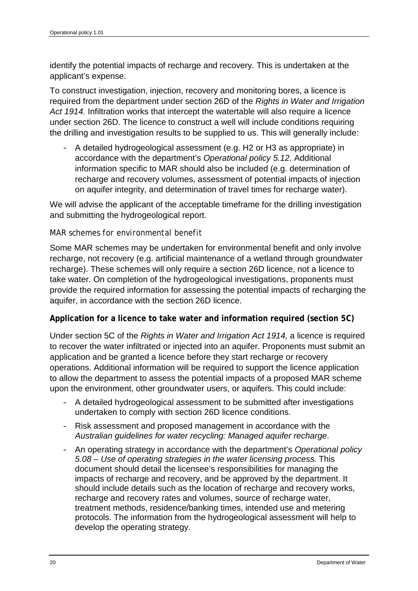identify the potential impacts of recharge and recovery. This is undertaken at the applicant's expense.

To construct investigation, injection, recovery and monitoring bores, a licence is required from the department under section 26D of the *Rights in Water and Irrigation Act 1914.* Infiltration works that intercept the watertable will also require a licence under section 26D. The licence to construct a well will include conditions requiring the drilling and investigation results to be supplied to us. This will generally include:

*-* A detailed hydrogeological assessment (e.g. H2 or H3 as appropriate) in accordance with the department's *Operational policy 5.12.* Additional information specific to MAR should also be included (e.g. determination of recharge and recovery volumes, assessment of potential impacts of injection on aquifer integrity, and determination of travel times for recharge water).

We will advise the applicant of the acceptable timeframe for the drilling investigation and submitting the hydrogeological report.

#### *MAR schemes for environmental benefit*

Some MAR schemes may be undertaken for environmental benefit and only involve recharge, not recovery (e.g. artificial maintenance of a wetland through groundwater recharge). These schemes will only require a section 26D licence, not a licence to take water. On completion of the hydrogeological investigations, proponents must provide the required information for assessing the potential impacts of recharging the aquifer, in accordance with the section 26D licence.

#### **Application for a licence to take water and information required (section 5C)**

Under section 5C of the *Rights in Water and Irrigation Act 1914,* a licence is required to recover the water infiltrated or injected into an aquifer. Proponents must submit an application and be granted a licence before they start recharge or recovery operations. Additional information will be required to support the licence application to allow the department to assess the potential impacts of a proposed MAR scheme upon the environment, other groundwater users, or aquifers. This could include:

- *-* A detailed hydrogeological assessment to be submitted after investigations undertaken to comply with section 26D licence conditions.
- *-* Risk assessment and proposed management in accordance with the *Australian guidelines for water recycling: Managed aquifer recharge*.
- *-* An operating strategy in accordance with the department's *Operational policy 5.08 – Use of operating strategies in the water licensing process.* This document should detail the licensee's responsibilities for managing the impacts of recharge and recovery, and be approved by the department. It should include details such as the location of recharge and recovery works, recharge and recovery rates and volumes, source of recharge water, treatment methods, residence/banking times, intended use and metering protocols. The information from the hydrogeological assessment will help to develop the operating strategy.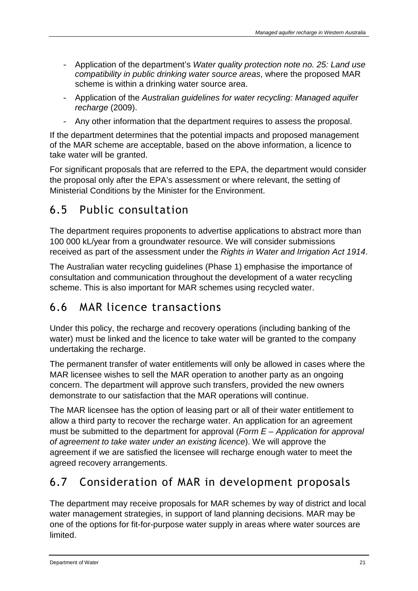- *-* Application of the department's *Water quality protection note no. 25: Land use compatibility in public drinking water source areas*, where the proposed MAR scheme is within a drinking water source area.
- *-* Application of the *Australian guidelines for water recycling: Managed aquifer recharge* (2009).
- *-* Any other information that the department requires to assess the proposal.

If the department determines that the potential impacts and proposed management of the MAR scheme are acceptable, based on the above information, a licence to take water will be granted.

For significant proposals that are referred to the EPA, the department would consider the proposal only after the EPA's assessment or where relevant, the setting of Ministerial Conditions by the Minister for the Environment.

### 6.5 Public consultation

The department requires proponents to advertise applications to abstract more than 100 000 kL/year from a groundwater resource. We will consider submissions received as part of the assessment under the *Rights in Water and Irrigation Act 1914*.

The Australian water recycling guidelines (Phase 1) emphasise the importance of consultation and communication throughout the development of a water recycling scheme. This is also important for MAR schemes using recycled water.

### 6.6 MAR licence transactions

Under this policy, the recharge and recovery operations (including banking of the water) must be linked and the licence to take water will be granted to the company undertaking the recharge.

The permanent transfer of water entitlements will only be allowed in cases where the MAR licensee wishes to sell the MAR operation to another party as an ongoing concern. The department will approve such transfers, provided the new owners demonstrate to our satisfaction that the MAR operations will continue.

The MAR licensee has the option of leasing part or all of their water entitlement to allow a third party to recover the recharge water. An application for an agreement must be submitted to the department for approval (*Form E – Application for approval of agreement to take water under an existing licence*). We will approve the agreement if we are satisfied the licensee will recharge enough water to meet the agreed recovery arrangements.

## 6.7 Consideration of MAR in development proposals

The department may receive proposals for MAR schemes by way of district and local water management strategies, in support of land planning decisions. MAR may be one of the options for fit-for-purpose water supply in areas where water sources are limited.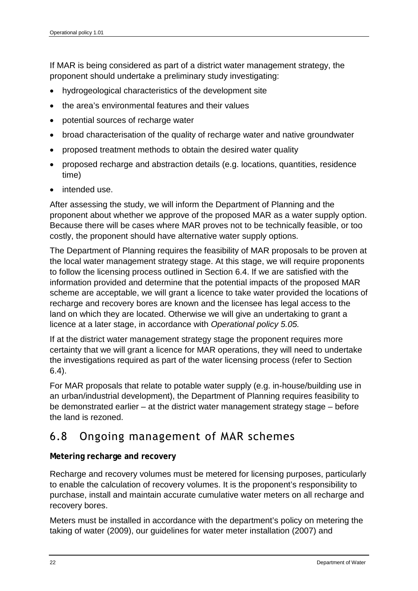If MAR is being considered as part of a district water management strategy, the proponent should undertake a preliminary study investigating:

- hydrogeological characteristics of the development site
- the area's environmental features and their values
- potential sources of recharge water
- broad characterisation of the quality of recharge water and native groundwater
- proposed treatment methods to obtain the desired water quality
- proposed recharge and abstraction details (e.g. locations, quantities, residence time)
- intended use.

After assessing the study, we will inform the Department of Planning and the proponent about whether we approve of the proposed MAR as a water supply option. Because there will be cases where MAR proves not to be technically feasible, or too costly, the proponent should have alternative water supply options.

The Department of Planning requires the feasibility of MAR proposals to be proven at the local water management strategy stage. At this stage, we will require proponents to follow the licensing process outlined in Section 6.4. If we are satisfied with the information provided and determine that the potential impacts of the proposed MAR scheme are acceptable, we will grant a licence to take water provided the locations of recharge and recovery bores are known and the licensee has legal access to the land on which they are located. Otherwise we will give an undertaking to grant a licence at a later stage, in accordance with *Operational policy 5.05.*

If at the district water management strategy stage the proponent requires more certainty that we will grant a licence for MAR operations, they will need to undertake the investigations required as part of the water licensing process (refer to Section 6.4).

For MAR proposals that relate to potable water supply (e.g. in-house/building use in an urban/industrial development), the Department of Planning requires feasibility to be demonstrated earlier – at the district water management strategy stage – before the land is rezoned.

### 6.8 Ongoing management of MAR schemes

#### **Metering recharge and recovery**

Recharge and recovery volumes must be metered for licensing purposes, particularly to enable the calculation of recovery volumes. It is the proponent's responsibility to purchase, install and maintain accurate cumulative water meters on all recharge and recovery bores.

Meters must be installed in accordance with the department's policy on metering the taking of water (2009), our guidelines for water meter installation (2007) and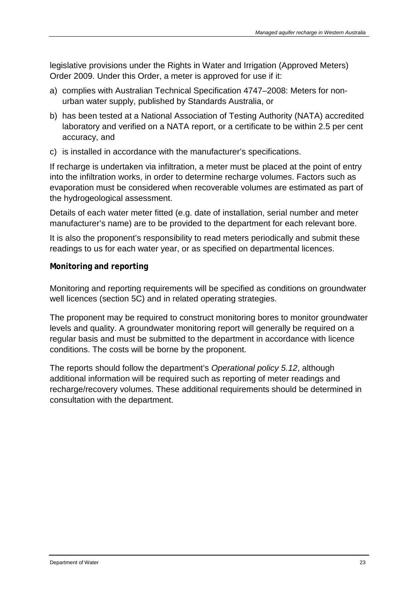legislative provisions under the Rights in Water and Irrigation (Approved Meters) Order 2009. Under this Order, a meter is approved for use if it:

- a) complies with Australian Technical Specification 4747–2008: Meters for nonurban water supply, published by Standards Australia, or
- b) has been tested at a National Association of Testing Authority (NATA) accredited laboratory and verified on a NATA report, or a certificate to be within 2.5 per cent accuracy, and
- c) is installed in accordance with the manufacturer's specifications.

If recharge is undertaken via infiltration, a meter must be placed at the point of entry into the infiltration works, in order to determine recharge volumes. Factors such as evaporation must be considered when recoverable volumes are estimated as part of the hydrogeological assessment.

Details of each water meter fitted (e.g. date of installation, serial number and meter manufacturer's name) are to be provided to the department for each relevant bore.

It is also the proponent's responsibility to read meters periodically and submit these readings to us for each water year, or as specified on departmental licences.

#### **Monitoring and reporting**

Monitoring and reporting requirements will be specified as conditions on groundwater well licences (section 5C) and in related operating strategies.

The proponent may be required to construct monitoring bores to monitor groundwater levels and quality. A groundwater monitoring report will generally be required on a regular basis and must be submitted to the department in accordance with licence conditions. The costs will be borne by the proponent.

The reports should follow the department's *Operational policy 5.12*, although additional information will be required such as reporting of meter readings and recharge/recovery volumes. These additional requirements should be determined in consultation with the department.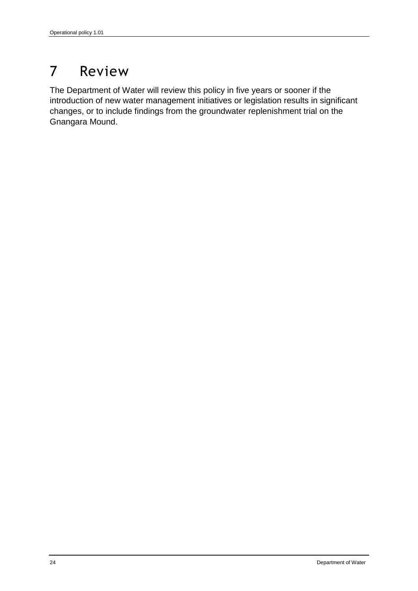# 7 Review

The Department of Water will review this policy in five years or sooner if the introduction of new water management initiatives or legislation results in significant changes, or to include findings from the groundwater replenishment trial on the Gnangara Mound.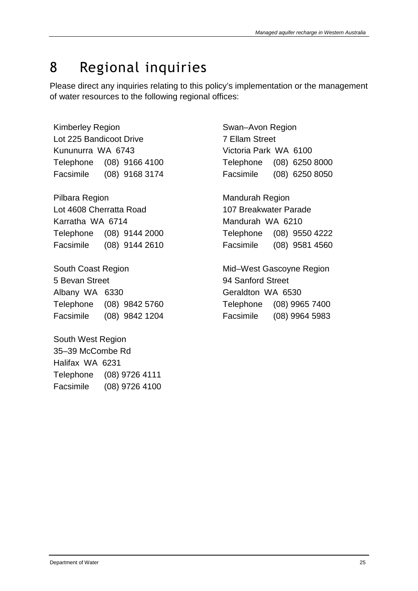# 8 Regional inquiries

Please direct any inquiries relating to this policy's implementation or the management of water resources to the following regional offices:

Kimberley Region Lot 225 Bandicoot Drive Kununurra WA 6743 Telephone (08) 9166 4100 Facsimile (08) 9168 3174

Pilbara Region Lot 4608 Cherratta Road Karratha WA 6714 Telephone (08) 9144 2000 Facsimile (08) 9144 2610

South Coast Region 5 Bevan Street Albany WA 6330 Telephone (08) 9842 5760 Facsimile (08) 9842 1204

South West Region 35–39 McCombe Rd Halifax WA 6231 Telephone (08) 9726 4111 Facsimile (08) 9726 4100 Swan–Avon Region 7 Ellam Street Victoria Park WA 6100 Telephone (08) 6250 8000 Facsimile (08) 6250 8050

Mandurah Region 107 Breakwater Parade Mandurah WA 6210 Telephone (08) 9550 4222 Facsimile (08) 9581 4560

Mid–West Gascoyne Region 94 Sanford Street Geraldton WA 6530 Telephone (08) 9965 7400 Facsimile (08) 9964 5983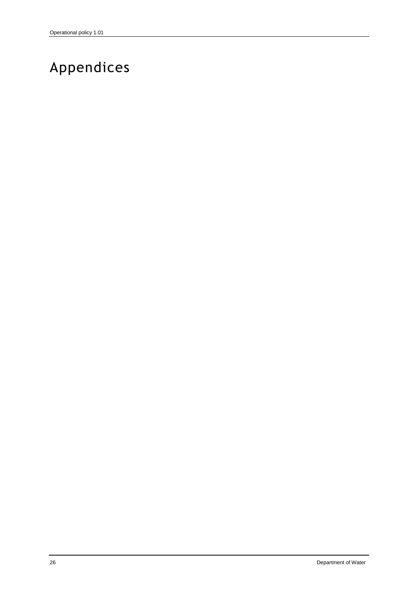# Appendices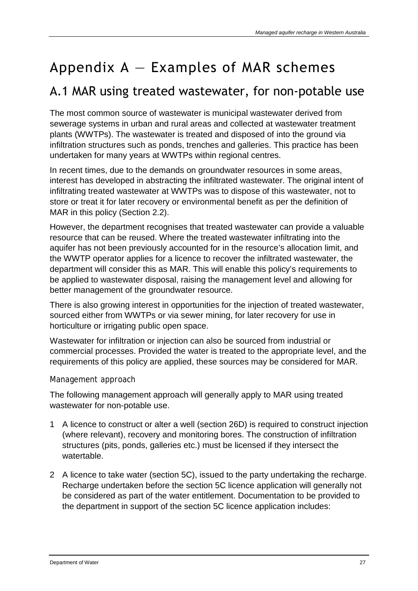# Appendix  $A -$  Examples of MAR schemes

## A.1 MAR using treated wastewater, for non-potable use

The most common source of wastewater is municipal wastewater derived from sewerage systems in urban and rural areas and collected at wastewater treatment plants (WWTPs). The wastewater is treated and disposed of into the ground via infiltration structures such as ponds, trenches and galleries. This practice has been undertaken for many years at WWTPs within regional centres.

In recent times, due to the demands on groundwater resources in some areas, interest has developed in abstracting the infiltrated wastewater. The original intent of infiltrating treated wastewater at WWTPs was to dispose of this wastewater, not to store or treat it for later recovery or environmental benefit as per the definition of MAR in this policy (Section 2.2).

However, the department recognises that treated wastewater can provide a valuable resource that can be reused. Where the treated wastewater infiltrating into the aquifer has not been previously accounted for in the resource's allocation limit, and the WWTP operator applies for a licence to recover the infiltrated wastewater, the department will consider this as MAR. This will enable this policy's requirements to be applied to wastewater disposal, raising the management level and allowing for better management of the groundwater resource.

There is also growing interest in opportunities for the injection of treated wastewater, sourced either from WWTPs or via sewer mining, for later recovery for use in horticulture or irrigating public open space.

Wastewater for infiltration or injection can also be sourced from industrial or commercial processes. Provided the water is treated to the appropriate level, and the requirements of this policy are applied, these sources may be considered for MAR.

### *Management approach*

The following management approach will generally apply to MAR using treated wastewater for non-potable use.

- 1 A licence to construct or alter a well (section 26D) is required to construct injection (where relevant), recovery and monitoring bores. The construction of infiltration structures (pits, ponds, galleries etc.) must be licensed if they intersect the watertable.
- 2 A licence to take water (section 5C), issued to the party undertaking the recharge. Recharge undertaken before the section 5C licence application will generally not be considered as part of the water entitlement. Documentation to be provided to the department in support of the section 5C licence application includes: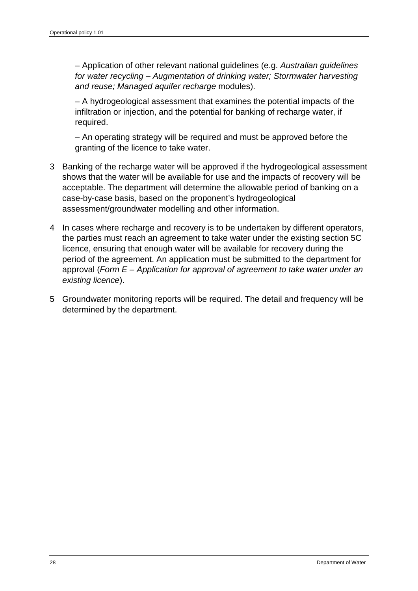– Application of other relevant national guidelines (e.g. *Australian guidelines for water recycling – Augmentation of drinking water; Stormwater harvesting and reuse; Managed aquifer recharge* modules).

– A hydrogeological assessment that examines the potential impacts of the infiltration or injection, and the potential for banking of recharge water, if required.

– An operating strategy will be required and must be approved before the granting of the licence to take water.

- 3 Banking of the recharge water will be approved if the hydrogeological assessment shows that the water will be available for use and the impacts of recovery will be acceptable. The department will determine the allowable period of banking on a case-by-case basis, based on the proponent's hydrogeological assessment/groundwater modelling and other information.
- 4 In cases where recharge and recovery is to be undertaken by different operators, the parties must reach an agreement to take water under the existing section 5C licence, ensuring that enough water will be available for recovery during the period of the agreement. An application must be submitted to the department for approval (*Form E – Application for approval of agreement to take water under an existing licence*).
- 5 Groundwater monitoring reports will be required. The detail and frequency will be determined by the department.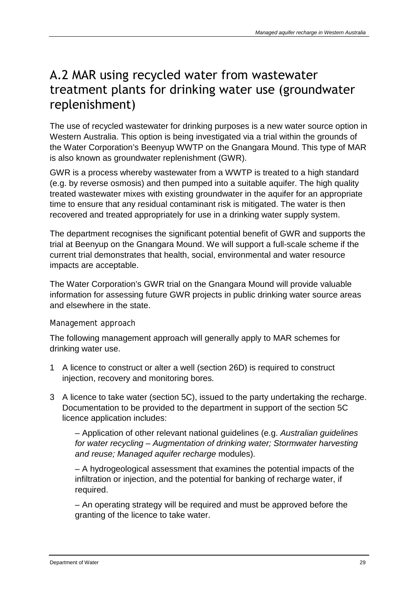## A.2 MAR using recycled water from wastewater treatment plants for drinking water use (groundwater replenishment)

The use of recycled wastewater for drinking purposes is a new water source option in Western Australia. This option is being investigated via a trial within the grounds of the Water Corporation's Beenyup WWTP on the Gnangara Mound. This type of MAR is also known as groundwater replenishment (GWR).

GWR is a process whereby wastewater from a WWTP is treated to a high standard (e.g. by reverse osmosis) and then pumped into a suitable aquifer. The high quality treated wastewater mixes with existing groundwater in the aquifer for an appropriate time to ensure that any residual contaminant risk is mitigated. The water is then recovered and treated appropriately for use in a drinking water supply system.

The department recognises the significant potential benefit of GWR and supports the trial at Beenyup on the Gnangara Mound. We will support a full-scale scheme if the current trial demonstrates that health, social, environmental and water resource impacts are acceptable.

The Water Corporation's GWR trial on the Gnangara Mound will provide valuable information for assessing future GWR projects in public drinking water source areas and elsewhere in the state.

### *Management approach*

The following management approach will generally apply to MAR schemes for drinking water use.

- 1 A licence to construct or alter a well (section 26D) is required to construct injection, recovery and monitoring bores.
- 3 A licence to take water (section 5C), issued to the party undertaking the recharge. Documentation to be provided to the department in support of the section 5C licence application includes:

– Application of other relevant national guidelines (e.g. *Australian guidelines for water recycling – Augmentation of drinking water; Stormwater harvesting and reuse; Managed aquifer recharge* modules).

– A hydrogeological assessment that examines the potential impacts of the infiltration or injection, and the potential for banking of recharge water, if required.

– An operating strategy will be required and must be approved before the granting of the licence to take water.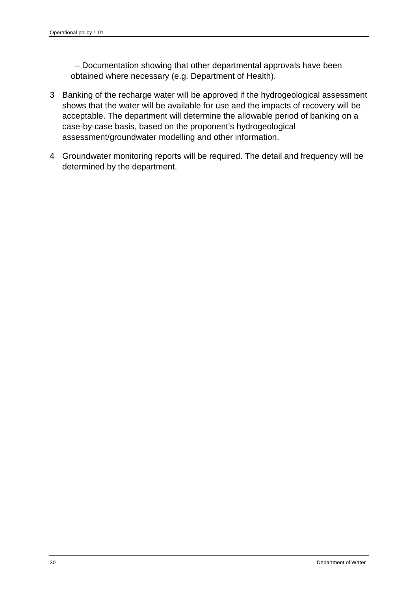– Documentation showing that other departmental approvals have been obtained where necessary (e.g. Department of Health).

- 3 Banking of the recharge water will be approved if the hydrogeological assessment shows that the water will be available for use and the impacts of recovery will be acceptable. The department will determine the allowable period of banking on a case-by-case basis, based on the proponent's hydrogeological assessment/groundwater modelling and other information.
- 4 Groundwater monitoring reports will be required. The detail and frequency will be determined by the department.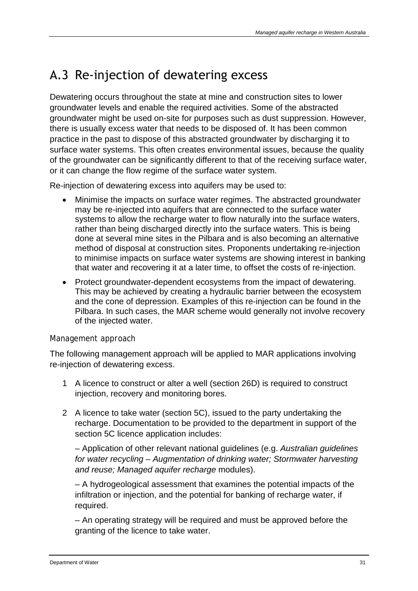## A.3 Re-injection of dewatering excess

Dewatering occurs throughout the state at mine and construction sites to lower groundwater levels and enable the required activities. Some of the abstracted groundwater might be used on-site for purposes such as dust suppression. However, there is usually excess water that needs to be disposed of. It has been common practice in the past to dispose of this abstracted groundwater by discharging it to surface water systems. This often creates environmental issues, because the quality of the groundwater can be significantly different to that of the receiving surface water, or it can change the flow regime of the surface water system.

Re-injection of dewatering excess into aquifers may be used to:

- Minimise the impacts on surface water regimes. The abstracted groundwater may be re-injected into aquifers that are connected to the surface water systems to allow the recharge water to flow naturally into the surface waters, rather than being discharged directly into the surface waters. This is being done at several mine sites in the Pilbara and is also becoming an alternative method of disposal at construction sites. Proponents undertaking re-injection to minimise impacts on surface water systems are showing interest in banking that water and recovering it at a later time, to offset the costs of re-injection.
- Protect groundwater-dependent ecosystems from the impact of dewatering. This may be achieved by creating a hydraulic barrier between the ecosystem and the cone of depression. Examples of this re-injection can be found in the Pilbara. In such cases, the MAR scheme would generally not involve recovery of the injected water.

#### *Management approach*

The following management approach will be applied to MAR applications involving re-injection of dewatering excess.

- 1 A licence to construct or alter a well (section 26D) is required to construct injection, recovery and monitoring bores.
- 2 A licence to take water (section 5C), issued to the party undertaking the recharge. Documentation to be provided to the department in support of the section 5C licence application includes:

– Application of other relevant national guidelines (e.g. *Australian guidelines for water recycling – Augmentation of drinking water; Stormwater harvesting and reuse; Managed aquifer recharge* modules).

– A hydrogeological assessment that examines the potential impacts of the infiltration or injection, and the potential for banking of recharge water, if required.

– An operating strategy will be required and must be approved before the granting of the licence to take water.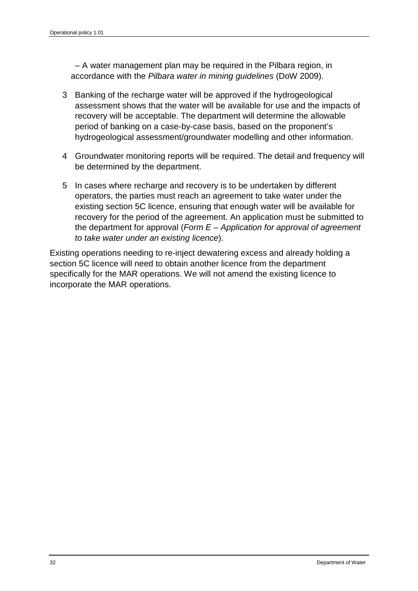– A water management plan may be required in the Pilbara region, in accordance with the *Pilbara water in mining guidelines* (DoW 2009).

- 3 Banking of the recharge water will be approved if the hydrogeological assessment shows that the water will be available for use and the impacts of recovery will be acceptable. The department will determine the allowable period of banking on a case-by-case basis, based on the proponent's hydrogeological assessment/groundwater modelling and other information.
- 4 Groundwater monitoring reports will be required. The detail and frequency will be determined by the department.
- 5 In cases where recharge and recovery is to be undertaken by different operators, the parties must reach an agreement to take water under the existing section 5C licence, ensuring that enough water will be available for recovery for the period of the agreement. An application must be submitted to the department for approval (*Form E – Application for approval of agreement to take water under an existing licence*).

Existing operations needing to re-inject dewatering excess and already holding a section 5C licence will need to obtain another licence from the department specifically for the MAR operations. We will not amend the existing licence to incorporate the MAR operations.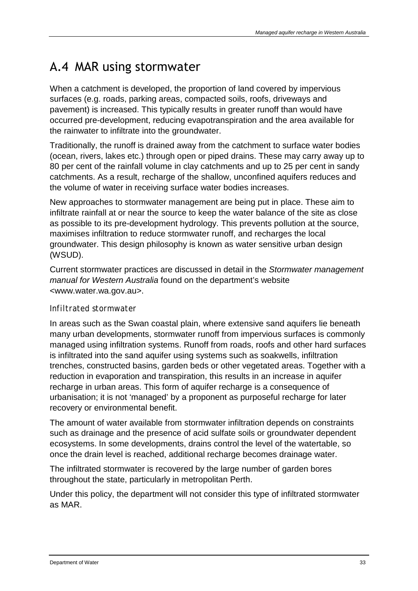## A.4 MAR using stormwater

When a catchment is developed, the proportion of land covered by impervious surfaces (e.g. roads, parking areas, compacted soils, roofs, driveways and pavement) is increased. This typically results in greater runoff than would have occurred pre-development, reducing evapotranspiration and the area available for the rainwater to infiltrate into the groundwater.

Traditionally, the runoff is drained away from the catchment to surface water bodies (ocean, rivers, lakes etc.) through open or piped drains. These may carry away up to 80 per cent of the rainfall volume in clay catchments and up to 25 per cent in sandy catchments. As a result, recharge of the shallow, unconfined aquifers reduces and the volume of water in receiving surface water bodies increases.

New approaches to stormwater management are being put in place. These aim to infiltrate rainfall at or near the source to keep the water balance of the site as close as possible to its pre-development hydrology. This prevents pollution at the source, maximises infiltration to reduce stormwater runoff, and recharges the local groundwater. This design philosophy is known as water sensitive urban design (WSUD).

Current stormwater practices are discussed in detail in the *Stormwater management manual for Western Australia* found on the department's website <www.water.wa.gov.au>.

### *Infiltrated stormwater*

In areas such as the Swan coastal plain, where extensive sand aquifers lie beneath many urban developments, stormwater runoff from impervious surfaces is commonly managed using infiltration systems. Runoff from roads, roofs and other hard surfaces is infiltrated into the sand aquifer using systems such as soakwells, infiltration trenches, constructed basins, garden beds or other vegetated areas. Together with a reduction in evaporation and transpiration, this results in an increase in aquifer recharge in urban areas. This form of aquifer recharge is a consequence of urbanisation; it is not 'managed' by a proponent as purposeful recharge for later recovery or environmental benefit.

The amount of water available from stormwater infiltration depends on constraints such as drainage and the presence of acid sulfate soils or groundwater dependent ecosystems. In some developments, drains control the level of the watertable, so once the drain level is reached, additional recharge becomes drainage water.

The infiltrated stormwater is recovered by the large number of garden bores throughout the state, particularly in metropolitan Perth.

Under this policy, the department will not consider this type of infiltrated stormwater as MAR.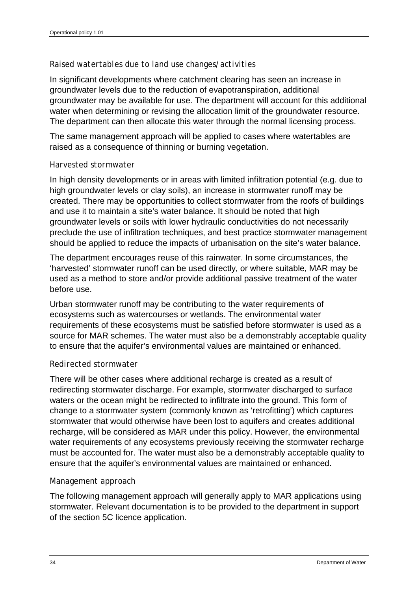#### *Raised watertables due to land use changes/activities*

In significant developments where catchment clearing has seen an increase in groundwater levels due to the reduction of evapotranspiration, additional groundwater may be available for use. The department will account for this additional water when determining or revising the allocation limit of the groundwater resource. The department can then allocate this water through the normal licensing process.

The same management approach will be applied to cases where watertables are raised as a consequence of thinning or burning vegetation.

#### *Harvested stormwater*

In high density developments or in areas with limited infiltration potential (e.g. due to high groundwater levels or clay soils), an increase in stormwater runoff may be created. There may be opportunities to collect stormwater from the roofs of buildings and use it to maintain a site's water balance. It should be noted that high groundwater levels or soils with lower hydraulic conductivities do not necessarily preclude the use of infiltration techniques, and best practice stormwater management should be applied to reduce the impacts of urbanisation on the site's water balance.

The department encourages reuse of this rainwater. In some circumstances, the 'harvested' stormwater runoff can be used directly, or where suitable, MAR may be used as a method to store and/or provide additional passive treatment of the water before use.

Urban stormwater runoff may be contributing to the water requirements of ecosystems such as watercourses or wetlands. The environmental water requirements of these ecosystems must be satisfied before stormwater is used as a source for MAR schemes. The water must also be a demonstrably acceptable quality to ensure that the aquifer's environmental values are maintained or enhanced.

#### *Redirected stormwater*

There will be other cases where additional recharge is created as a result of redirecting stormwater discharge. For example, stormwater discharged to surface waters or the ocean might be redirected to infiltrate into the ground. This form of change to a stormwater system (commonly known as 'retrofitting') which captures stormwater that would otherwise have been lost to aquifers and creates additional recharge, will be considered as MAR under this policy. However, the environmental water requirements of any ecosystems previously receiving the stormwater recharge must be accounted for. The water must also be a demonstrably acceptable quality to ensure that the aquifer's environmental values are maintained or enhanced.

#### *Management approach*

The following management approach will generally apply to MAR applications using stormwater. Relevant documentation is to be provided to the department in support of the section 5C licence application.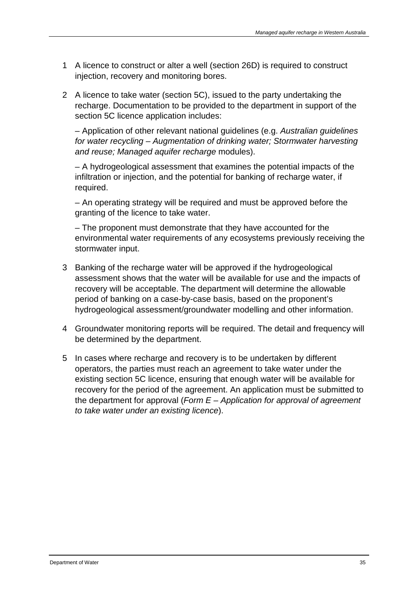- 1 A licence to construct or alter a well (section 26D) is required to construct injection, recovery and monitoring bores.
- 2 A licence to take water (section 5C), issued to the party undertaking the recharge. Documentation to be provided to the department in support of the section 5C licence application includes:

– Application of other relevant national guidelines (e.g. *Australian guidelines for water recycling – Augmentation of drinking water; Stormwater harvesting and reuse; Managed aquifer recharge* modules).

– A hydrogeological assessment that examines the potential impacts of the infiltration or injection, and the potential for banking of recharge water, if required.

– An operating strategy will be required and must be approved before the granting of the licence to take water.

– The proponent must demonstrate that they have accounted for the environmental water requirements of any ecosystems previously receiving the stormwater input.

- 3 Banking of the recharge water will be approved if the hydrogeological assessment shows that the water will be available for use and the impacts of recovery will be acceptable. The department will determine the allowable period of banking on a case-by-case basis, based on the proponent's hydrogeological assessment/groundwater modelling and other information.
- 4 Groundwater monitoring reports will be required. The detail and frequency will be determined by the department.
- 5 In cases where recharge and recovery is to be undertaken by different operators, the parties must reach an agreement to take water under the existing section 5C licence, ensuring that enough water will be available for recovery for the period of the agreement. An application must be submitted to the department for approval (*Form E – Application for approval of agreement to take water under an existing licence*).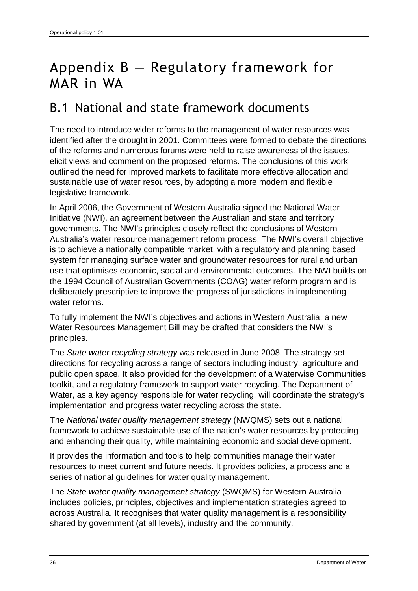## Appendix B — Regulatory framework for MAR in WA

### B.1 National and state framework documents

The need to introduce wider reforms to the management of water resources was identified after the drought in 2001. Committees were formed to debate the directions of the reforms and numerous forums were held to raise awareness of the issues, elicit views and comment on the proposed reforms. The conclusions of this work outlined the need for improved markets to facilitate more effective allocation and sustainable use of water resources, by adopting a more modern and flexible legislative framework.

In April 2006, the Government of Western Australia signed the National Water Initiative (NWI), an agreement between the Australian and state and territory governments. The NWI's principles closely reflect the conclusions of Western Australia's water resource management reform process. The NWI's overall objective is to achieve a nationally compatible market, with a regulatory and planning based system for managing surface water and groundwater resources for rural and urban use that optimises economic, social and environmental outcomes. The NWI builds on the 1994 Council of Australian Governments (COAG) water reform program and is deliberately prescriptive to improve the progress of jurisdictions in implementing water reforms.

To fully implement the NWI's objectives and actions in Western Australia, a new Water Resources Management Bill may be drafted that considers the NWI's principles.

The *State water recycling strategy* was released in June 2008. The strategy set directions for recycling across a range of sectors including industry, agriculture and public open space. It also provided for the development of a Waterwise Communities toolkit, and a regulatory framework to support water recycling. The Department of Water, as a key agency responsible for water recycling, will coordinate the strategy's implementation and progress water recycling across the state.

The *National water quality management strategy* (NWQMS) sets out a national framework to achieve sustainable use of the nation's water resources by protecting and enhancing their quality, while maintaining economic and social development.

It provides the information and tools to help communities manage their water resources to meet current and future needs. It provides policies, a process and a series of national guidelines for water quality management.

The *State water quality management strategy* (SWQMS) for Western Australia includes policies, principles, objectives and implementation strategies agreed to across Australia. It recognises that water quality management is a responsibility shared by government (at all levels), industry and the community.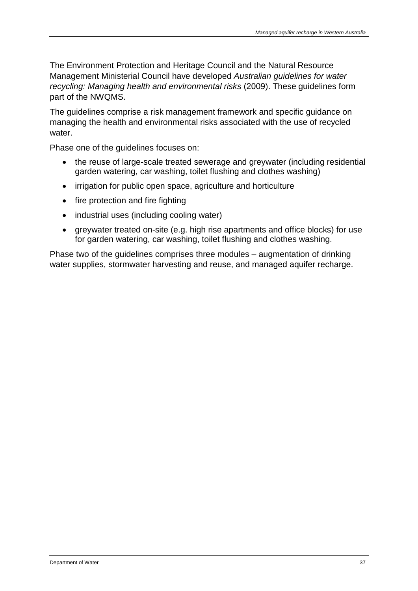The Environment Protection and Heritage Council and the Natural Resource Management Ministerial Council have developed *Australian guidelines for water recycling: Managing health and environmental risks* (2009). These guidelines form part of the NWQMS.

The guidelines comprise a risk management framework and specific guidance on managing the health and environmental risks associated with the use of recycled water.

Phase one of the guidelines focuses on:

- the reuse of large-scale treated sewerage and greywater (including residential garden watering, car washing, toilet flushing and clothes washing)
- irrigation for public open space, agriculture and horticulture
- fire protection and fire fighting
- industrial uses (including cooling water)
- greywater treated on-site (e.g. high rise apartments and office blocks) for use for garden watering, car washing, toilet flushing and clothes washing.

Phase two of the guidelines comprises three modules – augmentation of drinking water supplies, stormwater harvesting and reuse, and managed aquifer recharge.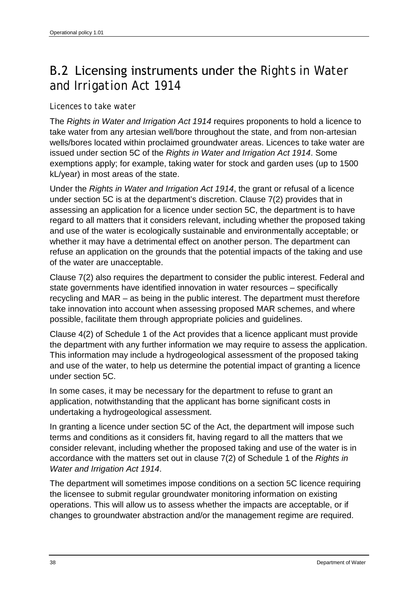## B.2 Licensing instruments under the *Rights in Water and Irrigation Act 1914*

#### *Licences to take water*

The *Rights in Water and Irrigation Act 1914* requires proponents to hold a licence to take water from any artesian well/bore throughout the state, and from non-artesian wells/bores located within proclaimed groundwater areas. Licences to take water are issued under section 5C of the *Rights in Water and Irrigation Act 1914*. Some exemptions apply; for example, taking water for stock and garden uses (up to 1500 kL/year) in most areas of the state.

Under the *Rights in Water and Irrigation Act 1914*, the grant or refusal of a licence under section 5C is at the department's discretion. Clause 7(2) provides that in assessing an application for a licence under section 5C, the department is to have regard to all matters that it considers relevant, including whether the proposed taking and use of the water is ecologically sustainable and environmentally acceptable; or whether it may have a detrimental effect on another person. The department can refuse an application on the grounds that the potential impacts of the taking and use of the water are unacceptable.

Clause 7(2) also requires the department to consider the public interest. Federal and state governments have identified innovation in water resources – specifically recycling and MAR – as being in the public interest. The department must therefore take innovation into account when assessing proposed MAR schemes, and where possible, facilitate them through appropriate policies and guidelines.

Clause 4(2) of Schedule 1 of the Act provides that a licence applicant must provide the department with any further information we may require to assess the application. This information may include a hydrogeological assessment of the proposed taking and use of the water, to help us determine the potential impact of granting a licence under section 5C.

In some cases, it may be necessary for the department to refuse to grant an application, notwithstanding that the applicant has borne significant costs in undertaking a hydrogeological assessment.

In granting a licence under section 5C of the Act, the department will impose such terms and conditions as it considers fit, having regard to all the matters that we consider relevant, including whether the proposed taking and use of the water is in accordance with the matters set out in clause 7(2) of Schedule 1 of the *Rights in Water and Irrigation Act 1914*.

The department will sometimes impose conditions on a section 5C licence requiring the licensee to submit regular groundwater monitoring information on existing operations. This will allow us to assess whether the impacts are acceptable, or if changes to groundwater abstraction and/or the management regime are required.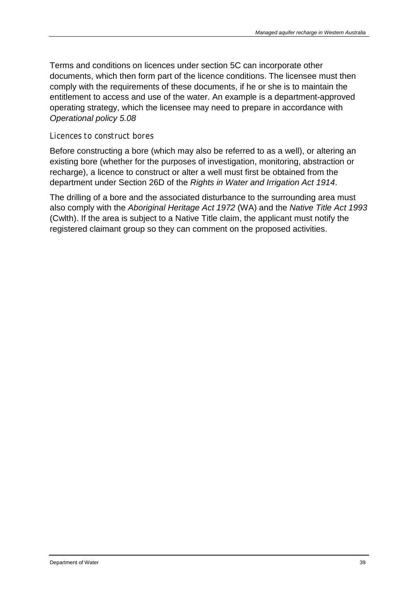Terms and conditions on licences under section 5C can incorporate other documents, which then form part of the licence conditions. The licensee must then comply with the requirements of these documents, if he or she is to maintain the entitlement to access and use of the water. An example is a department-approved operating strategy, which the licensee may need to prepare in accordance with *Operational policy 5.08*

#### *Licences to construct bores*

Before constructing a bore (which may also be referred to as a well), or altering an existing bore (whether for the purposes of investigation, monitoring, abstraction or recharge), a licence to construct or alter a well must first be obtained from the department under Section 26D of the *Rights in Water and Irrigation Act 1914*.

The drilling of a bore and the associated disturbance to the surrounding area must also comply with the *Aboriginal Heritage Act 1972* (WA) and the *Native Title Act 1993* (Cwlth). If the area is subject to a Native Title claim, the applicant must notify the registered claimant group so they can comment on the proposed activities.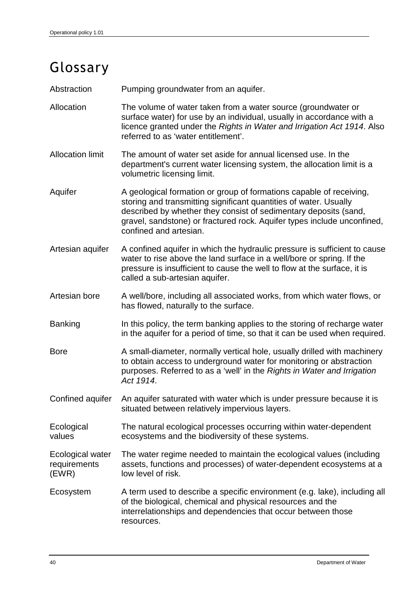## Glossary

Abstraction Pumping groundwater from an aquifer.

- Allocation The volume of water taken from a water source (groundwater or surface water) for use by an individual, usually in accordance with a licence granted under the *Rights in Water and Irrigation Act 1914*. Also referred to as 'water entitlement'.
- Allocation limit The amount of water set aside for annual licensed use. In the department's current water licensing system, the allocation limit is a volumetric licensing limit.
- Aquifer A geological formation or group of formations capable of receiving, storing and transmitting significant quantities of water. Usually described by whether they consist of sedimentary deposits (sand, gravel, sandstone) or fractured rock. Aquifer types include unconfined, confined and artesian.
- Artesian aquifer A confined aquifer in which the hydraulic pressure is sufficient to cause water to rise above the land surface in a well/bore or spring. If the pressure is insufficient to cause the well to flow at the surface, it is called a sub-artesian aquifer.
- Artesian bore A well/bore, including all associated works, from which water flows, or has flowed, naturally to the surface.
- Banking In this policy, the term banking applies to the storing of recharge water in the aquifer for a period of time, so that it can be used when required.
- Bore **A** small-diameter, normally vertical hole, usually drilled with machinery to obtain access to underground water for monitoring or abstraction purposes. Referred to as a 'well' in the *Rights in Water and Irrigation Act 1914*.
- Confined aquifer An aquifer saturated with water which is under pressure because it is situated between relatively impervious layers.
- **Ecological** values The natural ecological processes occurring within water-dependent ecosystems and the biodiversity of these systems.

Ecological water requirements (EWR) The water regime needed to maintain the ecological values (including assets, functions and processes) of water-dependent ecosystems at a low level of risk.

Ecosystem A term used to describe a specific environment (e.g. lake), including all of the biological, chemical and physical resources and the interrelationships and dependencies that occur between those resources.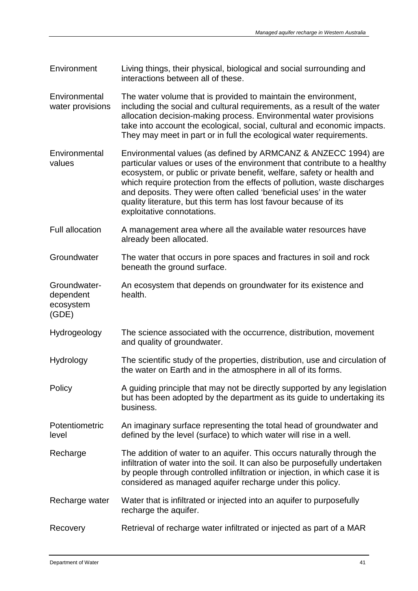- Environment Living things, their physical, biological and social surrounding and interactions between all of these.
- **Environmental** water provisions The water volume that is provided to maintain the environment, including the social and cultural requirements, as a result of the water allocation decision-making process. Environmental water provisions take into account the ecological, social, cultural and economic impacts. They may meet in part or in full the ecological water requirements.
- **Environmental** values Environmental values (as defined by ARMCANZ & ANZECC 1994) are particular values or uses of the environment that contribute to a healthy ecosystem, or public or private benefit, welfare, safety or health and which require protection from the effects of pollution, waste discharges and deposits. They were often called 'beneficial uses' in the water quality literature, but this term has lost favour because of its exploitative connotations.
- Full allocation A management area where all the available water resources have already been allocated.
- Groundwater The water that occurs in pore spaces and fractures in soil and rock beneath the ground surface.
- Groundwaterdependent ecosystem An ecosystem that depends on groundwater for its existence and health.
- Hydrogeology The science associated with the occurrence, distribution, movement and quality of groundwater.
- Hydrology The scientific study of the properties, distribution, use and circulation of the water on Earth and in the atmosphere in all of its forms.
- Policy A guiding principle that may not be directly supported by any legislation but has been adopted by the department as its guide to undertaking its business.
- Potentiometric level An imaginary surface representing the total head of groundwater and defined by the level (surface) to which water will rise in a well.
- Recharge The addition of water to an aquifer. This occurs naturally through the infiltration of water into the soil. It can also be purposefully undertaken by people through controlled infiltration or injection, in which case it is considered as managed aquifer recharge under this policy.
- Recharge water Water that is infiltrated or injected into an aquifer to purposefully recharge the aquifer.
- Recovery Retrieval of recharge water infiltrated or injected as part of a MAR

(GDE)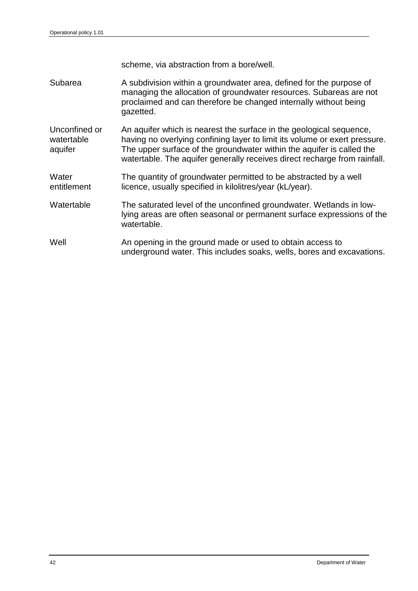scheme, via abstraction from a bore/well. Subarea **A** subdivision within a groundwater area, defined for the purpose of managing the allocation of groundwater resources. Subareas are not proclaimed and can therefore be changed internally without being gazetted. Unconfined or watertable aquifer An aquifer which is nearest the surface in the geological sequence, having no overlying confining layer to limit its volume or exert pressure. The upper surface of the groundwater within the aquifer is called the watertable. The aquifer generally receives direct recharge from rainfall. **Water** entitlement The quantity of groundwater permitted to be abstracted by a well licence, usually specified in kilolitres/year (kL/year). Watertable The saturated level of the unconfined groundwater. Wetlands in lowlying areas are often seasonal or permanent surface expressions of the watertable. Well Mell An opening in the ground made or used to obtain access to underground water. This includes soaks, wells, bores and excavations.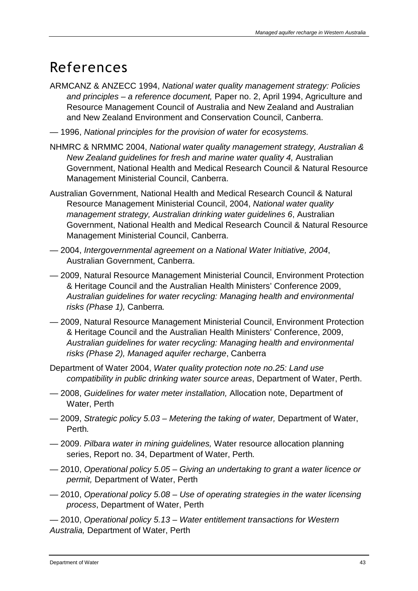## References

- ARMCANZ & ANZECC 1994, *National water quality management strategy: Policies and principles – a reference document,* Paper no. 2, April 1994, Agriculture and Resource Management Council of Australia and New Zealand and Australian and New Zealand Environment and Conservation Council, Canberra.
- 1996, *National principles for the provision of water for ecosystems.*
- NHMRC & NRMMC 2004, *National water quality management strategy, Australian & New Zealand guidelines for fresh and marine water quality 4,* Australian Government, National Health and Medical Research Council & Natural Resource Management Ministerial Council, Canberra.
- Australian Government, National Health and Medical Research Council & Natural Resource Management Ministerial Council, 2004, *National water quality management strategy, Australian drinking water guidelines 6*, Australian Government, National Health and Medical Research Council & Natural Resource Management Ministerial Council, Canberra.
- 2004, *Intergovernmental agreement on a National Water Initiative, 2004*, Australian Government, Canberra.
- 2009, Natural Resource Management Ministerial Council, Environment Protection & Heritage Council and the Australian Health Ministers' Conference 2009, *Australian guidelines for water recycling: Managing health and environmental risks (Phase 1),* Canberra*.*
- 2009, Natural Resource Management Ministerial Council, Environment Protection & Heritage Council and the Australian Health Ministers' Conference, 2009, *Australian guidelines for water recycling: Managing health and environmental risks (Phase 2), Managed aquifer recharge*, Canberra
- Department of Water 2004, *Water quality protection note no.25: Land use compatibility in public drinking water source areas*, Department of Water, Perth.
- 2008, *Guidelines for water meter installation,* Allocation note, Department of Water, Perth
- 2009, *Strategic policy 5.03 – Metering the taking of water,* Department of Water, Perth*.*
- 2009. *Pilbara water in mining guidelines,* Water resource allocation planning series, Report no. 34, Department of Water, Perth*.*
- 2010, *Operational policy 5.05 – Giving an undertaking to grant a water licence or permit,* Department of Water, Perth
- 2010, *Operational policy 5.08 – Use of operating strategies in the water licensing process*, Department of Water, Perth

— 2010, *Operational policy 5.13 – Water entitlement transactions for Western Australia,* Department of Water, Perth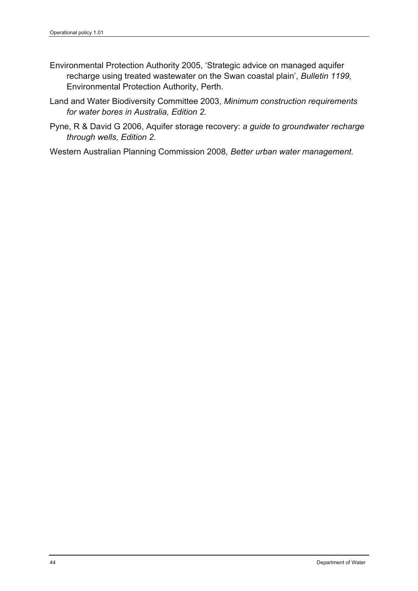- Environmental Protection Authority 2005, 'Strategic advice on managed aquifer recharge using treated wastewater on the Swan coastal plain', *Bulletin 1199,* Environmental Protection Authority, Perth.
- Land and Water Biodiversity Committee 2003, *Minimum construction requirements for water bores in Australia, Edition 2.*
- Pyne, R & David G 2006, Aquifer storage recovery: *a guide to groundwater recharge through wells, Edition 2.*

Western Australian Planning Commission 2008*, Better urban water management.*